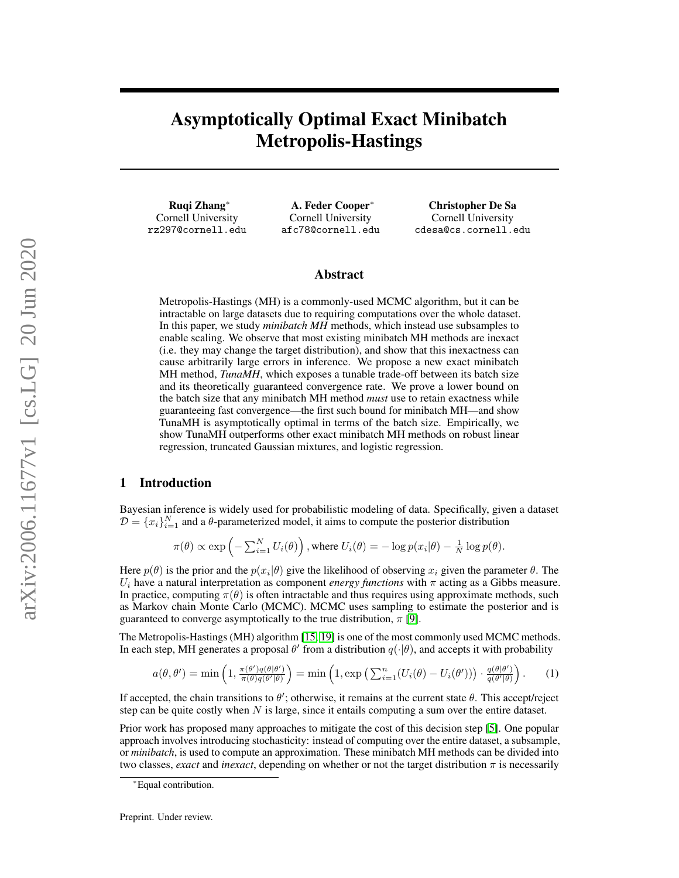# Asymptotically Optimal Exact Minibatch Metropolis-Hastings

Ruqi Zhang<sup>∗</sup> Cornell University rz297@cornell.edu

A. Feder Cooper<sup>∗</sup> Cornell University afc78@cornell.edu

Christopher De Sa Cornell University cdesa@cs.cornell.edu

### Abstract

Metropolis-Hastings (MH) is a commonly-used MCMC algorithm, but it can be intractable on large datasets due to requiring computations over the whole dataset. In this paper, we study *minibatch MH* methods, which instead use subsamples to enable scaling. We observe that most existing minibatch MH methods are inexact (i.e. they may change the target distribution), and show that this inexactness can cause arbitrarily large errors in inference. We propose a new exact minibatch MH method, *TunaMH*, which exposes a tunable trade-off between its batch size and its theoretically guaranteed convergence rate. We prove a lower bound on the batch size that any minibatch MH method *must* use to retain exactness while guaranteeing fast convergence—the first such bound for minibatch MH—and show TunaMH is asymptotically optimal in terms of the batch size. Empirically, we show TunaMH outperforms other exact minibatch MH methods on robust linear regression, truncated Gaussian mixtures, and logistic regression.

# 1 Introduction

Bayesian inference is widely used for probabilistic modeling of data. Specifically, given a dataset  $D = \{x_i\}_{i=1}^N$  and a  $\theta$ -parameterized model, it aims to compute the posterior distribution

<span id="page-0-0"></span>
$$
\pi(\theta) \propto \exp\left(-\sum_{i=1}^N U_i(\theta)\right), \text{ where } U_i(\theta) = -\log p(x_i|\theta) - \frac{1}{N}\log p(\theta).
$$

Here  $p(\theta)$  is the prior and the  $p(x_i|\theta)$  give the likelihood of observing  $x_i$  given the parameter  $\theta$ . The  $U_i$  have a natural interpretation as component *energy functions* with  $\pi$  acting as a Gibbs measure. In practice, computing  $\pi(\theta)$  is often intractable and thus requires using approximate methods, such as Markov chain Monte Carlo (MCMC). MCMC uses sampling to estimate the posterior and is guaranteed to converge asymptotically to the true distribution,  $\pi$  [\[9\]](#page-8-0).

The Metropolis-Hastings (MH) algorithm [\[15,](#page-9-0) [19\]](#page-9-1) is one of the most commonly used MCMC methods. In each step, MH generates a proposal  $\theta'$  from a distribution  $q(\cdot|\theta)$ , and accepts it with probability

$$
a(\theta, \theta') = \min\left(1, \frac{\pi(\theta')q(\theta|\theta')}{\pi(\theta)q(\theta'|\theta)}\right) = \min\left(1, \exp\left(\sum_{i=1}^n (U_i(\theta) - U_i(\theta'))\right) \cdot \frac{q(\theta|\theta')}{q(\theta'|\theta)}\right). \tag{1}
$$

If accepted, the chain transitions to  $\theta'$ ; otherwise, it remains at the current state  $\theta$ . This accept/reject step can be quite costly when  $N$  is large, since it entails computing a sum over the entire dataset.

Prior work has proposed many approaches to mitigate the cost of this decision step [\[5\]](#page-8-1). One popular approach involves introducing stochasticity: instead of computing over the entire dataset, a subsample, or *minibatch*, is used to compute an approximation. These minibatch MH methods can be divided into two classes, *exact* and *inexact*, depending on whether or not the target distribution π is necessarily

<sup>∗</sup>Equal contribution.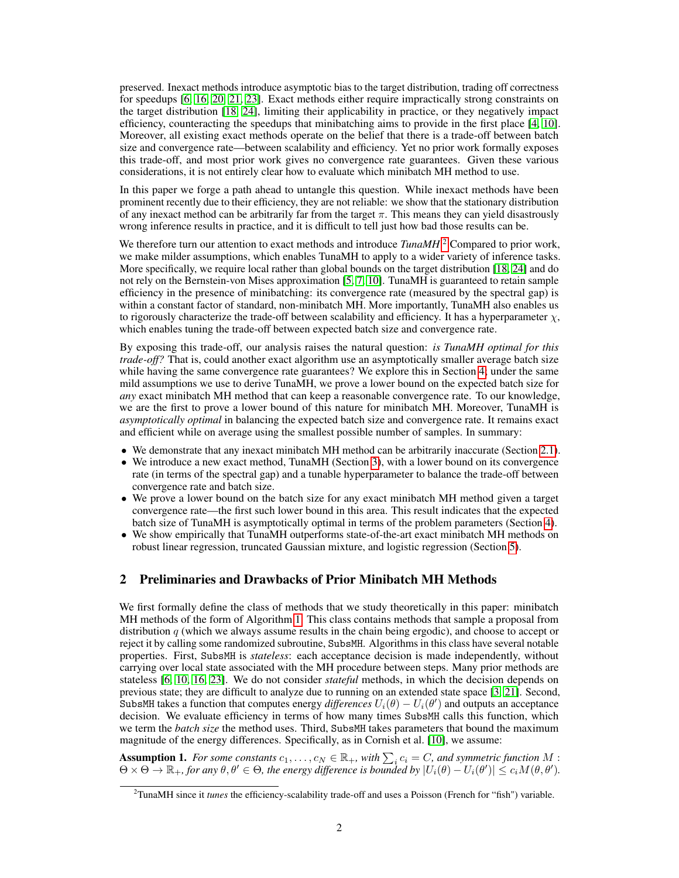preserved. Inexact methods introduce asymptotic bias to the target distribution, trading off correctness for speedups [\[6,](#page-8-2) [16,](#page-9-2) [20,](#page-9-3) [21,](#page-9-4) [23\]](#page-9-5). Exact methods either require impractically strong constraints on the target distribution [\[18,](#page-9-6) [24\]](#page-9-7), limiting their applicability in practice, or they negatively impact efficiency, counteracting the speedups that minibatching aims to provide in the first place [\[4,](#page-8-3) [10\]](#page-8-4). Moreover, all existing exact methods operate on the belief that there is a trade-off between batch size and convergence rate—between scalability and efficiency. Yet no prior work formally exposes this trade-off, and most prior work gives no convergence rate guarantees. Given these various considerations, it is not entirely clear how to evaluate which minibatch MH method to use.

In this paper we forge a path ahead to untangle this question. While inexact methods have been prominent recently due to their efficiency, they are not reliable: we show that the stationary distribution of any inexact method can be arbitrarily far from the target  $\pi$ . This means they can yield disastrously wrong inference results in practice, and it is difficult to tell just how bad those results can be.

We therefore turn our attention to exact methods and introduce *TunaMH*.<sup>[2](#page-1-0)</sup> Compared to prior work, we make milder assumptions, which enables TunaMH to apply to a wider variety of inference tasks. More specifically, we require local rather than global bounds on the target distribution [\[18,](#page-9-6) [24\]](#page-9-7) and do not rely on the Bernstein-von Mises approximation [\[5,](#page-8-1) [7,](#page-8-5) [10\]](#page-8-4). TunaMH is guaranteed to retain sample efficiency in the presence of minibatching: its convergence rate (measured by the spectral gap) is within a constant factor of standard, non-minibatch MH. More importantly, TunaMH also enables us to rigorously characterize the trade-off between scalability and efficiency. It has a hyperparameter  $\chi$ , which enables tuning the trade-off between expected batch size and convergence rate.

By exposing this trade-off, our analysis raises the natural question: *is TunaMH optimal for this trade-off?* That is, could another exact algorithm use an asymptotically smaller average batch size while having the same convergence rate guarantees? We explore this in Section [4;](#page-5-0) under the same mild assumptions we use to derive TunaMH, we prove a lower bound on the expected batch size for *any* exact minibatch MH method that can keep a reasonable convergence rate. To our knowledge, we are the first to prove a lower bound of this nature for minibatch MH. Moreover, TunaMH is *asymptotically optimal* in balancing the expected batch size and convergence rate. It remains exact and efficient while on average using the smallest possible number of samples. In summary:

- We demonstrate that any inexact minibatch MH method can be arbitrarily inaccurate (Section [2.1\)](#page-2-0).
- We introduce a new exact method, TunaMH (Section [3\)](#page-3-0), with a lower bound on its convergence rate (in terms of the spectral gap) and a tunable hyperparameter to balance the trade-off between convergence rate and batch size.
- We prove a lower bound on the batch size for any exact minibatch MH method given a target convergence rate—the first such lower bound in this area. This result indicates that the expected batch size of TunaMH is asymptotically optimal in terms of the problem parameters (Section [4\)](#page-5-0).
- We show empirically that TunaMH outperforms state-of-the-art exact minibatch MH methods on robust linear regression, truncated Gaussian mixture, and logistic regression (Section [5\)](#page-5-1).

# 2 Preliminaries and Drawbacks of Prior Minibatch MH Methods

We first formally define the class of methods that we study theoretically in this paper: minibatch MH methods of the form of Algorithm [1.](#page-2-1) This class contains methods that sample a proposal from distribution  $q$  (which we always assume results in the chain being ergodic), and choose to accept or reject it by calling some randomized subroutine, SubsMH. Algorithms in this class have several notable properties. First, SubsMH is *stateless*: each acceptance decision is made independently, without carrying over local state associated with the MH procedure between steps. Many prior methods are stateless [\[6,](#page-8-2) [10,](#page-8-4) [16,](#page-9-2) [23\]](#page-9-5). We do not consider *stateful* methods, in which the decision depends on previous state; they are difficult to analyze due to running on an extended state space [\[3,](#page-8-6) [21\]](#page-9-4). Second, SubsMH takes a function that computes energy *differences*  $U_i(\theta) - U_i(\theta')$  and outputs an acceptance decision. We evaluate efficiency in terms of how many times SubsMH calls this function, which we term the *batch size* the method uses. Third, SubsMH takes parameters that bound the maximum magnitude of the energy differences. Specifically, as in Cornish et al. [\[10\]](#page-8-4), we assume:

<span id="page-1-1"></span>Assumption 1. *For some constants*  $c_1, \ldots, c_N \in \mathbb{R}_+$ , with  $\sum_i c_i = C$ , and symmetric function M :  $\Theta \times \Theta \to \mathbb{R}_+$ , for any  $\theta, \theta' \in \Theta$ , the energy difference is bounded by  $|U_i(\theta) - U_i(\theta')| \leq c_i M(\theta, \theta')$ .

<span id="page-1-0"></span><sup>&</sup>lt;sup>2</sup>TunaMH since it *tunes* the efficiency-scalability trade-off and uses a Poisson (French for "fish") variable.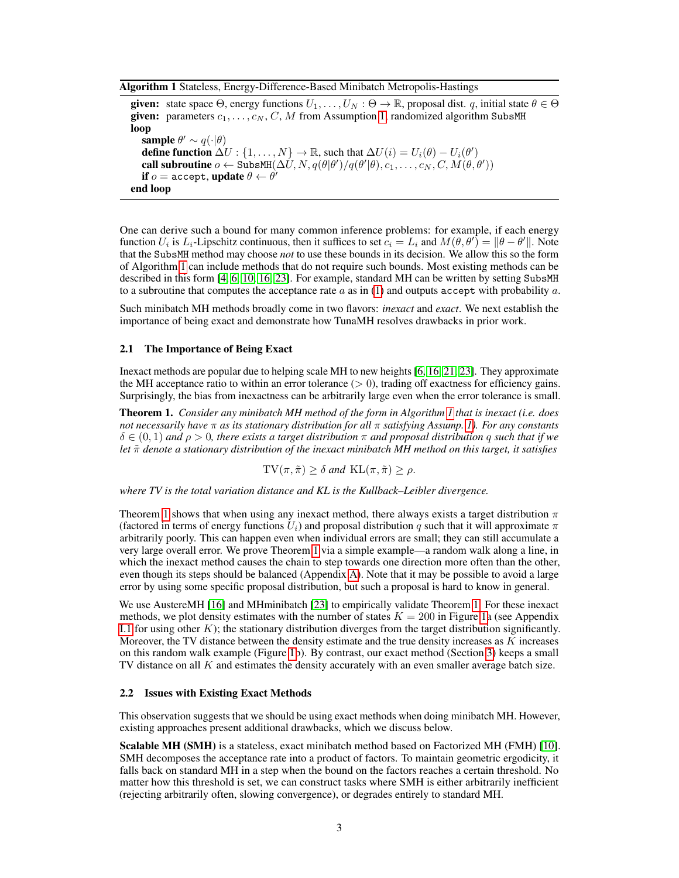<span id="page-2-1"></span>Algorithm 1 Stateless, Energy-Difference-Based Minibatch Metropolis-Hastings

given: state space  $\Theta$ , energy functions  $U_1, \ldots, U_N : \Theta \to \mathbb{R}$ , proposal dist. q, initial state  $\theta \in \Theta$ given: parameters  $c_1, \ldots, c_N, C, M$  from Assumption [1,](#page-1-1) randomized algorithm SubsMH loop sample  $\theta' \sim q(\cdot | \theta)$ define function  $\Delta U: \{1, \ldots, N\} \to \mathbb{R}$ , such that  $\Delta U(i) = U_i(\theta) - U_i(\theta')$ call subroutine  $o \leftarrow \texttt{SubsMH}(\Delta \hat{U}, N, q(\theta|\theta')/q(\theta'|\theta), c_1, \ldots, c_N, C, M(\theta, \theta'))$ if  $o = \texttt{accept},$  update  $\theta \leftarrow \theta'$ end loop

One can derive such a bound for many common inference problems: for example, if each energy function  $U_i$  is  $L_i$ -Lipschitz continuous, then it suffices to set  $c_i = L_i$  and  $M(\theta, \theta') = ||\theta - \theta'||$ . Note that the SubsMH method may choose *not* to use these bounds in its decision. We allow this so the form of Algorithm [1](#page-2-1) can include methods that do not require such bounds. Most existing methods can be described in this form [\[4,](#page-8-3) [6,](#page-8-2) [10,](#page-8-4) [16,](#page-9-2) [23\]](#page-9-5). For example, standard MH can be written by setting SubsMH to a subroutine that computes the acceptance rate  $a$  as in [\(1\)](#page-0-0) and outputs accept with probability  $a$ .

Such minibatch MH methods broadly come in two flavors: *inexact* and *exact*. We next establish the importance of being exact and demonstrate how TunaMH resolves drawbacks in prior work.

### <span id="page-2-0"></span>2.1 The Importance of Being Exact

Inexact methods are popular due to helping scale MH to new heights [\[6,](#page-8-2) [16,](#page-9-2) [21,](#page-9-4) [23\]](#page-9-5). They approximate the MH acceptance ratio to within an error tolerance  $(> 0)$ , trading off exactness for efficiency gains. Surprisingly, the bias from inexactness can be arbitrarily large even when the error tolerance is small.

<span id="page-2-2"></span>Theorem 1. *Consider any minibatch MH method of the form in Algorithm [1](#page-2-1) that is inexact (i.e. does not necessarily have* π *as its stationary distribution for all* π *satisfying Assump. [1\)](#page-1-1). For any constants*  $\delta \in (0,1)$  and  $\rho > 0$ , there exists a target distribution  $\pi$  and proposal distribution q such that if we *let*  $\tilde{\pi}$  *denote a stationary distribution of the inexact minibatch MH method on this target, it satisfies* 

 $TV(\pi, \tilde{\pi}) \geq \delta$  *and*  $KL(\pi, \tilde{\pi}) \geq \rho$ .

*where TV is the total variation distance and KL is the Kullback–Leibler divergence.*

Theorem [1](#page-2-2) shows that when using any inexact method, there always exists a target distribution  $\pi$ (factored in terms of energy functions  $U_i$ ) and proposal distribution q such that it will approximate  $\pi$ arbitrarily poorly. This can happen even when individual errors are small; they can still accumulate a very large overall error. We prove Theorem [1](#page-2-2) via a simple example—a random walk along a line, in which the inexact method causes the chain to step towards one direction more often than the other, even though its steps should be balanced (Appendix [A\)](#page-10-0). Note that it may be possible to avoid a large error by using some specific proposal distribution, but such a proposal is hard to know in general.

We use AustereMH [\[16\]](#page-9-2) and MHminibatch [\[23\]](#page-9-5) to empirically validate Theorem [1.](#page-2-2) For these inexact methods, we plot density estimates with the number of states  $K = 200$  in Figure [1a](#page-3-1) (see Appendix [I.1](#page-30-0) for using other  $K$ ); the stationary distribution diverges from the target distribution significantly. Moreover, the TV distance between the density estimate and the true density increases as  $K$  increases on this random walk example (Figure [1b](#page-3-1)). By contrast, our exact method (Section [3\)](#page-3-0) keeps a small TV distance on all K and estimates the density accurately with an even smaller average batch size.

### <span id="page-2-3"></span>2.2 Issues with Existing Exact Methods

This observation suggests that we should be using exact methods when doing minibatch MH. However, existing approaches present additional drawbacks, which we discuss below.

Scalable MH (SMH) is a stateless, exact minibatch method based on Factorized MH (FMH) [\[10\]](#page-8-4). SMH decomposes the acceptance rate into a product of factors. To maintain geometric ergodicity, it falls back on standard MH in a step when the bound on the factors reaches a certain threshold. No matter how this threshold is set, we can construct tasks where SMH is either arbitrarily inefficient (rejecting arbitrarily often, slowing convergence), or degrades entirely to standard MH.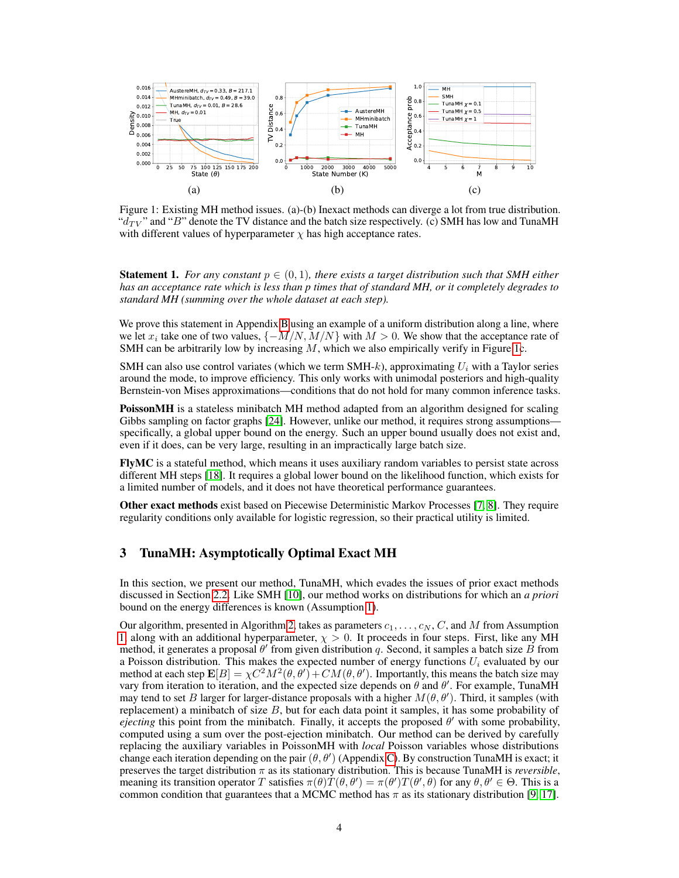<span id="page-3-1"></span>

Figure 1: Existing MH method issues. (a)-(b) Inexact methods can diverge a lot from true distribution. " $d_{TV}$ " and "B" denote the TV distance and the batch size respectively. (c) SMH has low and TunaMH with different values of hyperparameter  $\chi$  has high acceptance rates.

<span id="page-3-2"></span>**Statement 1.** *For any constant*  $p \in (0,1)$ *, there exists a target distribution such that SMH either has an acceptance rate which is less than p times that of standard MH, or it completely degrades to standard MH (summing over the whole dataset at each step).*

We prove this statement in Appendix [B](#page-16-0) using an example of a uniform distribution along a line, where we let  $x_i$  take one of two values,  $\{-M/N, M/N\}$  with  $M > 0$ . We show that the acceptance rate of SMH can be arbitrarily low by increasing  $M$ , which we also empirically verify in Figure [1c](#page-3-1).

SMH can also use control variates (which we term SMH-k), approximating  $U_i$  with a Taylor series around the mode, to improve efficiency. This only works with unimodal posteriors and high-quality Bernstein-von Mises approximations—conditions that do not hold for many common inference tasks.

PoissonMH is a stateless minibatch MH method adapted from an algorithm designed for scaling Gibbs sampling on factor graphs [\[24\]](#page-9-7). However, unlike our method, it requires strong assumptions specifically, a global upper bound on the energy. Such an upper bound usually does not exist and, even if it does, can be very large, resulting in an impractically large batch size.

FlyMC is a stateful method, which means it uses auxiliary random variables to persist state across different MH steps [\[18\]](#page-9-6). It requires a global lower bound on the likelihood function, which exists for a limited number of models, and it does not have theoretical performance guarantees.

Other exact methods exist based on Piecewise Deterministic Markov Processes [\[7,](#page-8-5) [8\]](#page-8-7). They require regularity conditions only available for logistic regression, so their practical utility is limited.

# <span id="page-3-0"></span>3 TunaMH: Asymptotically Optimal Exact MH

In this section, we present our method, TunaMH, which evades the issues of prior exact methods discussed in Section [2.2.](#page-2-3) Like SMH [\[10\]](#page-8-4), our method works on distributions for which an *a priori* bound on the energy differences is known (Assumption [1\)](#page-1-1).

Our algorithm, presented in Algorithm [2,](#page-4-0) takes as parameters  $c_1, \ldots, c_N, C$ , and M from Assumption [1,](#page-1-1) along with an additional hyperparameter,  $\chi > 0$ . It proceeds in four steps. First, like any MH method, it generates a proposal  $\theta'$  from given distribution q. Second, it samples a batch size  $\overline{B}$  from a Poisson distribution. This makes the expected number of energy functions  $U_i$  evaluated by our method at each step  $\mathbf{E}[B] = \chi C^2 M^2(\theta, \theta') + CM(\theta, \theta')$ . Importantly, this means the batch size may vary from iteration to iteration, and the expected size depends on  $\theta$  and  $\theta'$ . For example, TunaMH may tend to set B larger for larger-distance proposals with a higher  $M(\theta, \theta')$ . Third, it samples (with replacement) a minibatch of size B, but for each data point it samples, it has some probability of ejecting this point from the minibatch. Finally, it accepts the proposed  $\theta'$  with some probability, computed using a sum over the post-ejection minibatch. Our method can be derived by carefully replacing the auxiliary variables in PoissonMH with *local* Poisson variables whose distributions change each iteration depending on the pair  $(\theta, \theta')$  (Appendix [C\)](#page-17-0). By construction TunaMH is exact; it preserves the target distribution π as its stationary distribution. This is because TunaMH is *reversible*, meaning its transition operator T satisfies  $\pi(\theta)T(\theta,\theta') = \pi(\theta')T(\theta',\theta)$  for any  $\theta, \theta' \in \Theta$ . This is a common condition that guarantees that a MCMC method has  $\pi$  as its stationary distribution [\[9,](#page-8-0) [17\]](#page-9-8).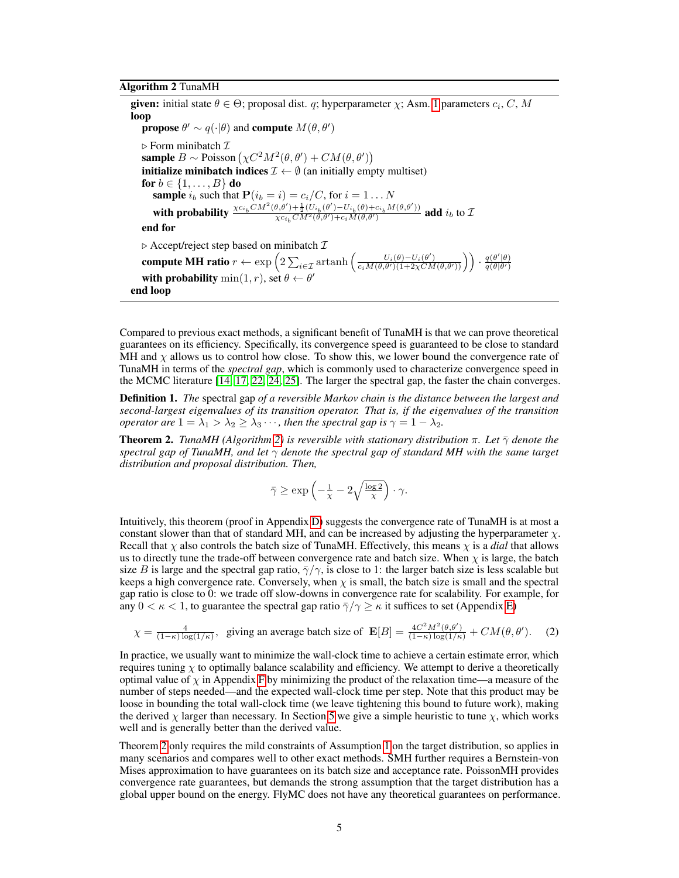#### <span id="page-4-0"></span>Algorithm 2 TunaMH

**given:** initial state  $\theta \in \Theta$ ; proposal dist. q; hyperparameter  $\chi$ ; Asm. [1](#page-1-1) parameters  $c_i$ , C, M loop **propose**  $\theta' \sim q(\cdot | \theta)$  and **compute**  $M(\theta, \theta')$  $\triangleright$  Form minibatch  $\mathcal I$ sample  $B \sim \text{Poisson} \left( \chi C^2 M^2(\theta, \theta') + CM(\theta, \theta') \right)$ **initialize minibatch indices**  $\mathcal{I} \leftarrow \emptyset$  (an initially empty multiset) for  $b \in \{1, \ldots, B\}$  do **sample**  $i_b$  such that  $P(i_b = i) = c_i/C$ , for  $i = 1 \dots N$ with probability  $\frac{\chi c_{i_b} C M^2(\theta, \theta') + \frac{1}{2} (U_{i_b}(\theta') - U_{i_b}(\theta) + c_{i_b} M(\theta, \theta'))}{\chi c_{i_b} C M^2(\theta, \theta') + c_{i_b} M(\theta, \theta')}$  $\frac{\partial \chi_{\mathcal{C}}(b) + \frac{1}{2}(C_i b_b(\theta) - C_i b_b(\theta) + c_i M(\theta, \theta'))}{\partial \chi_{\mathcal{C}}(b_b(\theta) + c_i M(\theta, \theta'))}$  add  $i_b$  to  $\mathcal{D}$ end for  $\triangleright$  Accept/reject step based on minibatch  $\mathcal I$ compute MH ratio  $r \leftarrow \exp \left( 2 \sum_{i \in \mathcal{I}} \operatorname{artanh}\left( \frac{U_i(\theta) - U_i(\theta')}{c_i M(\theta, \theta') (1 + 2 \chi CM(\theta, \theta'))} \right) \right) \cdot \frac{q(\theta'|\theta)}{q(\theta|\theta')}$  $q(\theta|\theta')$ with probability  $\min(1, r)$ , set  $\theta \leftarrow \theta'$ end loop

Compared to previous exact methods, a significant benefit of TunaMH is that we can prove theoretical guarantees on its efficiency. Specifically, its convergence speed is guaranteed to be close to standard MH and  $\chi$  allows us to control how close. To show this, we lower bound the convergence rate of TunaMH in terms of the *spectral gap*, which is commonly used to characterize convergence speed in the MCMC literature [\[14,](#page-9-9) [17,](#page-9-8) [22,](#page-9-10) [24,](#page-9-7) [25\]](#page-9-11). The larger the spectral gap, the faster the chain converges.

Definition 1. *The* spectral gap *of a reversible Markov chain is the distance between the largest and second-largest eigenvalues of its transition operator. That is, if the eigenvalues of the transition operator are*  $1 = \lambda_1 > \lambda_2 \geq \lambda_3 \cdots$ , *then the spectral gap is*  $\gamma = 1 - \lambda_2$ .

<span id="page-4-1"></span>**Theorem 2.** *TunaMH (Algorithm [2\)](#page-4-0) is reversible with stationary distribution*  $\pi$ *. Let*  $\bar{\gamma}$  *denote the spectral gap of TunaMH, and let* γ *denote the spectral gap of standard MH with the same target distribution and proposal distribution. Then,*

<span id="page-4-2"></span>
$$
\bar{\gamma} \ge \exp\left(-\frac{1}{x} - 2\sqrt{\frac{\log 2}{x}}\right) \cdot \gamma.
$$

Intuitively, this theorem (proof in Appendix [D\)](#page-19-0) suggests the convergence rate of TunaMH is at most a constant slower than that of standard MH, and can be increased by adjusting the hyperparameter  $\chi$ . Recall that  $\chi$  also controls the batch size of TunaMH. Effectively, this means  $\chi$  is a *dial* that allows us to directly tune the trade-off between convergence rate and batch size. When  $\chi$  is large, the batch size B is large and the spectral gap ratio,  $\bar{\gamma}/\gamma$ , is close to 1: the larger batch size is less scalable but keeps a high convergence rate. Conversely, when  $\chi$  is small, the batch size is small and the spectral gap ratio is close to 0: we trade off slow-downs in convergence rate for scalability. For example, for any  $0 < \kappa < 1$ , to guarantee the spectral gap ratio  $\overline{\gamma}/\gamma \geq \kappa$  it suffices to set (Appendix [E\)](#page-24-0)

$$
\chi = \frac{4}{(1-\kappa)\log(1/\kappa)}, \quad \text{giving an average batch size of } \mathbf{E}[B] = \frac{4C^2M^2(\theta,\theta')}{(1-\kappa)\log(1/\kappa)} + CM(\theta,\theta'). \tag{2}
$$

In practice, we usually want to minimize the wall-clock time to achieve a certain estimate error, which requires tuning  $\chi$  to optimally balance scalability and efficiency. We attempt to derive a theoretically optimal value of  $\chi$  in Appendix [F](#page-24-1) by minimizing the product of the relaxation time—a measure of the number of steps needed—and the expected wall-clock time per step. Note that this product may be loose in bounding the total wall-clock time (we leave tightening this bound to future work), making the derived  $\chi$  larger than necessary. In Section [5](#page-5-1) we give a simple heuristic to tune  $\chi$ , which works well and is generally better than the derived value.

Theorem [2](#page-4-1) only requires the mild constraints of Assumption [1](#page-1-1) on the target distribution, so applies in many scenarios and compares well to other exact methods. SMH further requires a Bernstein-von Mises approximation to have guarantees on its batch size and acceptance rate. PoissonMH provides convergence rate guarantees, but demands the strong assumption that the target distribution has a global upper bound on the energy. FlyMC does not have any theoretical guarantees on performance.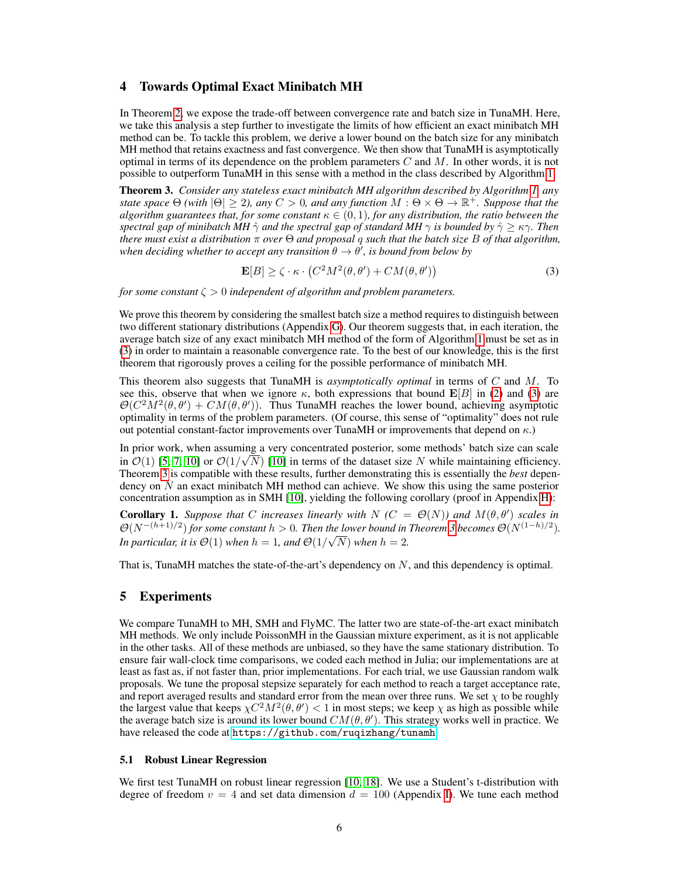# <span id="page-5-0"></span>4 Towards Optimal Exact Minibatch MH

In Theorem [2,](#page-4-1) we expose the trade-off between convergence rate and batch size in TunaMH. Here, we take this analysis a step further to investigate the limits of how efficient an exact minibatch MH method can be. To tackle this problem, we derive a lower bound on the batch size for any minibatch MH method that retains exactness and fast convergence. We then show that TunaMH is asymptotically optimal in terms of its dependence on the problem parameters  $C$  and  $M$ . In other words, it is not possible to outperform TunaMH in this sense with a method in the class described by Algorithm [1.](#page-2-1)

<span id="page-5-3"></span>Theorem 3. *Consider any stateless exact minibatch MH algorithm described by Algorithm [1,](#page-2-1) any state space*  $\Theta$  *(with*  $|\Theta| \geq 2$ *), any*  $C > 0$ *, and any function*  $M : \Theta \times \Theta \to \mathbb{R}^+$ *. Suppose that the algorithm guarantees that, for some constant*  $\kappa \in (0,1)$ *, for any distribution, the ratio between the spectral gap of minibatch MH*  $\hat{\gamma}$  *and the spectral gap of standard MH*  $\gamma$  *is bounded by*  $\hat{\gamma} \geq \kappa \gamma$ *. Then there must exist a distribution* π *over* Θ *and proposal* q *such that the batch size* B *of that algorithm,* when deciding whether to accept any transition  $\theta \to \theta'$ , is bound from below by

<span id="page-5-2"></span>
$$
\mathbf{E}[B] \ge \zeta \cdot \kappa \cdot (C^2 M^2(\theta, \theta') + CM(\theta, \theta')) \tag{3}
$$

*for some constant* ζ > 0 *independent of algorithm and problem parameters.*

We prove this theorem by considering the smallest batch size a method requires to distinguish between two different stationary distributions (Appendix [G\)](#page-25-0). Our theorem suggests that, in each iteration, the average batch size of any exact minibatch MH method of the form of Algorithm [1](#page-2-1) must be set as in [\(3\)](#page-5-2) in order to maintain a reasonable convergence rate. To the best of our knowledge, this is the first theorem that rigorously proves a ceiling for the possible performance of minibatch MH.

This theorem also suggests that TunaMH is *asymptotically optimal* in terms of C and M. To see this, observe that when we ignore  $\kappa$ , both expressions that bound  $\mathbf{E}[B]$  in [\(2\)](#page-4-2) and [\(3\)](#page-5-2) are  $\mathcal{O}(C^2M^2(\theta,\theta') + CM(\theta,\theta'))$ . Thus TunaMH reaches the lower bound, achieving asymptotic optimality in terms of the problem parameters. (Of course, this sense of "optimality" does not rule out potential constant-factor improvements over TunaMH or improvements that depend on  $\kappa$ .)

In prior work, when assuming a very concentrated posterior, some methods' batch size can scale in  $\mathcal{O}(1)$  [\[5,](#page-8-1) [7,](#page-8-5) [10\]](#page-8-4) or  $\mathcal{O}(1/\sqrt{N})$  [\[10\]](#page-8-4) in terms of the dataset size N while maintaining efficiency. Theorem [3](#page-5-3) is compatible with these results, further demonstrating this is essentially the *best* dependency on  $N$  an exact minibatch MH method can achieve. We show this using the same posterior concentration assumption as in SMH [\[10\]](#page-8-4), yielding the following corollary (proof in Appendix [H\)](#page-30-1):

<span id="page-5-5"></span>**Corollary 1.** *Suppose that* C *increases linearly with*  $N$  ( $C = \Theta(N)$ ) *and*  $M(\theta, \theta')$  *scales in*  $\mathcal{O}(N^{-(h+1)/2})$  *for some constant*  $h > 0$ *. Then the lower bound in Theorem [3](#page-5-3) becomes*  $\mathcal{O}(N^{(1-h)/2})$ *. In particular, it is*  $\Theta(1)$  *when h* = 1*, and*  $\Theta(1/\sqrt{N})$  *when h* = 2*.* 

That is, TunaMH matches the state-of-the-art's dependency on N, and this dependency is optimal.

# <span id="page-5-1"></span>5 Experiments

We compare TunaMH to MH, SMH and FlyMC. The latter two are state-of-the-art exact minibatch MH methods. We only include PoissonMH in the Gaussian mixture experiment, as it is not applicable in the other tasks. All of these methods are unbiased, so they have the same stationary distribution. To ensure fair wall-clock time comparisons, we coded each method in Julia; our implementations are at least as fast as, if not faster than, prior implementations. For each trial, we use Gaussian random walk proposals. We tune the proposal stepsize separately for each method to reach a target acceptance rate, and report averaged results and standard error from the mean over three runs. We set  $\chi$  to be roughly the largest value that keeps  $\chi C^2 M^2(\theta, \theta') < 1$  in most steps; we keep  $\chi$  as high as possible while the average batch size is around its lower bound  $CM(\theta, \theta')$ . This strategy works well in practice. We have released the code at <https://github.com/ruqizhang/tunamh>.

### <span id="page-5-4"></span>5.1 Robust Linear Regression

We first test TunaMH on robust linear regression [\[10,](#page-8-4) [18\]](#page-9-6). We use a Student's t-distribution with degree of freedom  $v = 4$  and set data dimension  $d = 100$  (Appendix [I\)](#page-30-2). We tune each method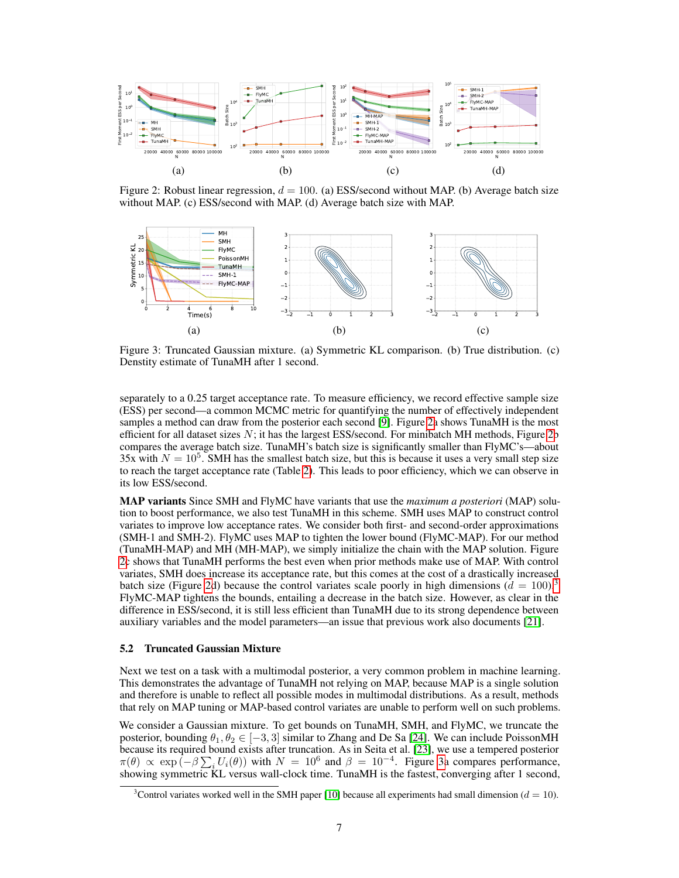<span id="page-6-0"></span>

Figure 2: Robust linear regression,  $d = 100$ . (a) ESS/second without MAP. (b) Average batch size without MAP. (c) ESS/second with MAP. (d) Average batch size with MAP.

<span id="page-6-2"></span>

Figure 3: Truncated Gaussian mixture. (a) Symmetric KL comparison. (b) True distribution. (c) Denstity estimate of TunaMH after 1 second.

separately to a 0.25 target acceptance rate. To measure efficiency, we record effective sample size (ESS) per second—a common MCMC metric for quantifying the number of effectively independent samples a method can draw from the posterior each second [\[9\]](#page-8-0). Figure [2a](#page-6-0) shows TunaMH is the most efficient for all dataset sizes  $N$ ; it has the largest ESS/second. For minibatch MH methods, Figure [2b](#page-6-0) compares the average batch size. TunaMH's batch size is significantly smaller than FlyMC's—about 35x with  $N = 10^5$ . SMH has the smallest batch size, but this is because it uses a very small step size to reach the target acceptance rate (Table [2\)](#page-32-0). This leads to poor efficiency, which we can observe in its low ESS/second.

MAP variants Since SMH and FlyMC have variants that use the *maximum a posteriori* (MAP) solution to boost performance, we also test TunaMH in this scheme. SMH uses MAP to construct control variates to improve low acceptance rates. We consider both first- and second-order approximations (SMH-1 and SMH-2). FlyMC uses MAP to tighten the lower bound (FlyMC-MAP). For our method (TunaMH-MAP) and MH (MH-MAP), we simply initialize the chain with the MAP solution. Figure [2c](#page-6-0) shows that TunaMH performs the best even when prior methods make use of MAP. With control variates, SMH does increase its acceptance rate, but this comes at the cost of a drastically increased batch size (Figure [2d](#page-6-0)) because the control variates scale poorly in high dimensions  $(d = 100)^3$  $(d = 100)^3$ FlyMC-MAP tightens the bounds, entailing a decrease in the batch size. However, as clear in the difference in ESS/second, it is still less efficient than TunaMH due to its strong dependence between auxiliary variables and the model parameters—an issue that previous work also documents [\[21\]](#page-9-4).

### 5.2 Truncated Gaussian Mixture

Next we test on a task with a multimodal posterior, a very common problem in machine learning. This demonstrates the advantage of TunaMH not relying on MAP, because MAP is a single solution and therefore is unable to reflect all possible modes in multimodal distributions. As a result, methods that rely on MAP tuning or MAP-based control variates are unable to perform well on such problems.

We consider a Gaussian mixture. To get bounds on TunaMH, SMH, and FlyMC, we truncate the posterior, bounding  $\theta_1, \theta_2 \in [-3, 3]$  similar to Zhang and De Sa [\[24\]](#page-9-7). We can include PoissonMH because its required bound exists after truncation. As in Seita et al. [\[23\]](#page-9-5), we use a tempered posterior  $\pi(\theta) \propto \exp(-\beta \sum_i U_i(\theta))$  with  $N = 10^6$  and  $\beta = 10^{-4}$ . Figure [3a](#page-6-2) compares performance, showing symmetric KL versus wall-clock time. TunaMH is the fastest, converging after 1 second,

<span id="page-6-1"></span><sup>&</sup>lt;sup>3</sup>Control variates worked well in the SMH paper [\[10\]](#page-8-4) because all experiments had small dimension ( $d = 10$ ).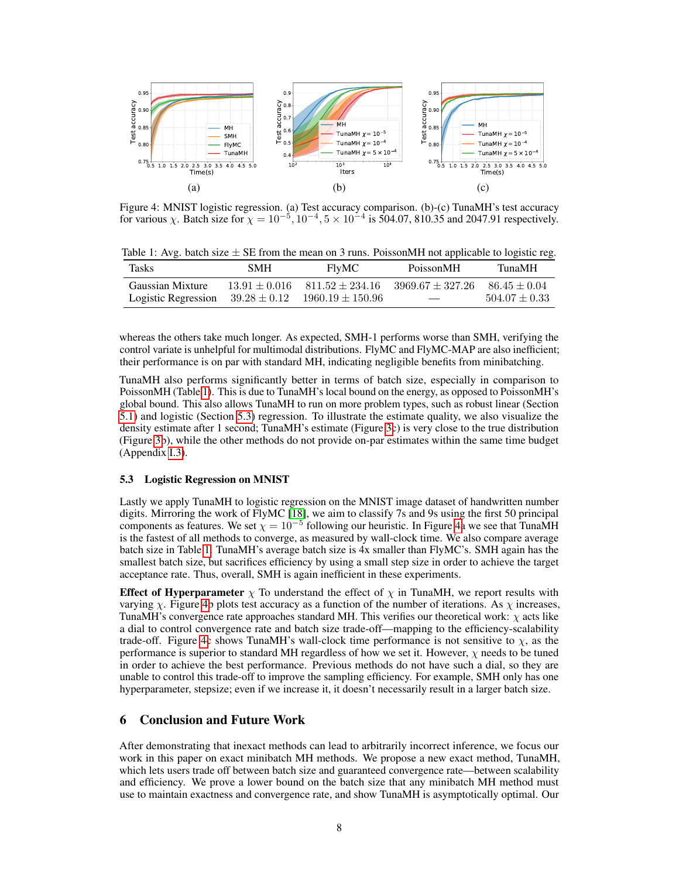<span id="page-7-2"></span>

Figure 4: MNIST logistic regression. (a) Test accuracy comparison. (b)-(c) TunaMH's test accuracy for various  $\chi$ . Batch size for  $\chi = 10^{-5}$ ,  $10^{-4}$ ,  $5 \times 10^{-4}$  is 504.07, 810.35 and 2047.91 respectively.

<span id="page-7-0"></span>Table 1: Avg. batch size  $\pm$  SE from the mean on 3 runs. PoissonMH not applicable to logistic reg.

| Tasks               | <b>SMH</b>       | <b>FlyMC</b>         | PoissonMH            | TunaMH            |
|---------------------|------------------|----------------------|----------------------|-------------------|
| Gaussian Mixture    | $13.91 + 0.016$  | $811.52 \pm 234.16$  | $3969.67 \pm 327.26$ | $86.45 + 0.04$    |
| Logistic Regression | $39.28 \pm 0.12$ | $1960.19 \pm 150.96$ |                      | $504.07 \pm 0.33$ |

whereas the others take much longer. As expected, SMH-1 performs worse than SMH, verifying the control variate is unhelpful for multimodal distributions. FlyMC and FlyMC-MAP are also inefficient; their performance is on par with standard MH, indicating negligible benefits from minibatching.

TunaMH also performs significantly better in terms of batch size, especially in comparison to PoissonMH (Table [1\)](#page-7-0). This is due to TunaMH's local bound on the energy, as opposed to PoissonMH's global bound. This also allows TunaMH to run on more problem types, such as robust linear (Section [5.1\)](#page-5-4) and logistic (Section [5.3\)](#page-7-1) regression. To illustrate the estimate quality, we also visualize the density estimate after 1 second; TunaMH's estimate (Figure [3c](#page-6-2)) is very close to the true distribution (Figure [3b](#page-6-2)), while the other methods do not provide on-par estimates within the same time budget (Appendix [I.3\)](#page-32-1).

### <span id="page-7-1"></span>5.3 Logistic Regression on MNIST

Lastly we apply TunaMH to logistic regression on the MNIST image dataset of handwritten number digits. Mirroring the work of FlyMC [\[18\]](#page-9-6), we aim to classify 7s and 9s using the first 50 principal components as features. We set  $\chi = 10^{-5}$  following our heuristic. In Figure [4a](#page-7-2) we see that TunaMH is the fastest of all methods to converge, as measured by wall-clock time. We also compare average batch size in Table [1.](#page-7-0) TunaMH's average batch size is 4x smaller than FlyMC's. SMH again has the smallest batch size, but sacrifices efficiency by using a small step size in order to achieve the target acceptance rate. Thus, overall, SMH is again inefficient in these experiments.

**Effect of Hyperparameter**  $\chi$  To understand the effect of  $\chi$  in TunaMH, we report results with varying  $\chi$ . Figure [4b](#page-7-2) plots test accuracy as a function of the number of iterations. As  $\chi$  increases, TunaMH's convergence rate approaches standard MH. This verifies our theoretical work:  $\chi$  acts like a dial to control convergence rate and batch size trade-off—mapping to the efficiency-scalability trade-off. Figure [4c](#page-7-2) shows TunaMH's wall-clock time performance is not sensitive to  $\chi$ , as the performance is superior to standard MH regardless of how we set it. However,  $\chi$  needs to be tuned in order to achieve the best performance. Previous methods do not have such a dial, so they are unable to control this trade-off to improve the sampling efficiency. For example, SMH only has one hyperparameter, stepsize; even if we increase it, it doesn't necessarily result in a larger batch size.

### 6 Conclusion and Future Work

After demonstrating that inexact methods can lead to arbitrarily incorrect inference, we focus our work in this paper on exact minibatch MH methods. We propose a new exact method, TunaMH, which lets users trade off between batch size and guaranteed convergence rate—between scalability and efficiency. We prove a lower bound on the batch size that any minibatch MH method must use to maintain exactness and convergence rate, and show TunaMH is asymptotically optimal. Our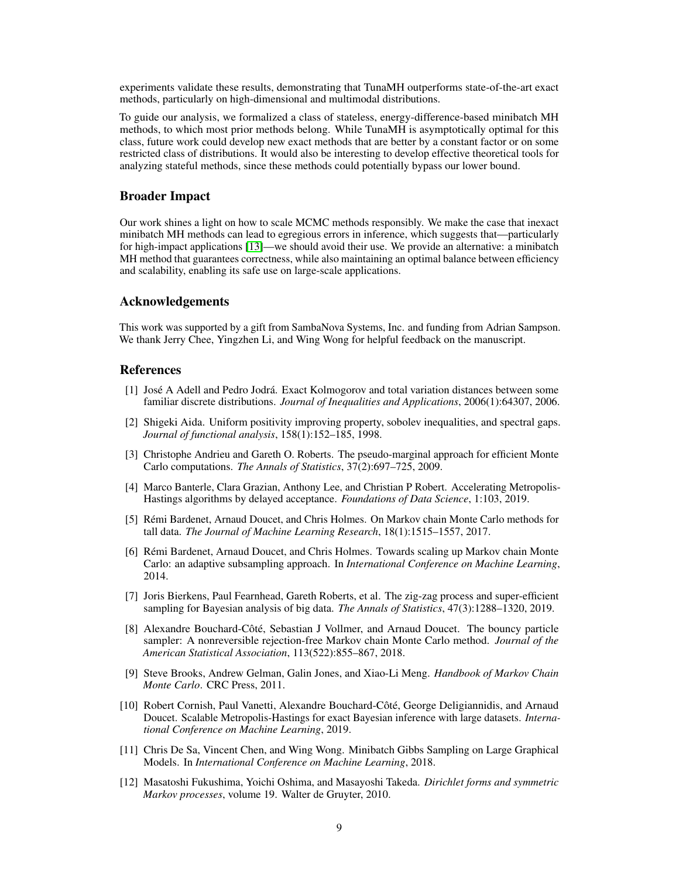experiments validate these results, demonstrating that TunaMH outperforms state-of-the-art exact methods, particularly on high-dimensional and multimodal distributions.

To guide our analysis, we formalized a class of stateless, energy-difference-based minibatch MH methods, to which most prior methods belong. While TunaMH is asymptotically optimal for this class, future work could develop new exact methods that are better by a constant factor or on some restricted class of distributions. It would also be interesting to develop effective theoretical tools for analyzing stateful methods, since these methods could potentially bypass our lower bound.

# Broader Impact

Our work shines a light on how to scale MCMC methods responsibly. We make the case that inexact minibatch MH methods can lead to egregious errors in inference, which suggests that—particularly for high-impact applications [\[13\]](#page-9-12)—we should avoid their use. We provide an alternative: a minibatch MH method that guarantees correctness, while also maintaining an optimal balance between efficiency and scalability, enabling its safe use on large-scale applications.

# Acknowledgements

This work was supported by a gift from SambaNova Systems, Inc. and funding from Adrian Sampson. We thank Jerry Chee, Yingzhen Li, and Wing Wong for helpful feedback on the manuscript.

### References

- <span id="page-8-11"></span>[1] José A Adell and Pedro Jodrá. Exact Kolmogorov and total variation distances between some familiar discrete distributions. *Journal of Inequalities and Applications*, 2006(1):64307, 2006.
- <span id="page-8-10"></span>[2] Shigeki Aida. Uniform positivity improving property, sobolev inequalities, and spectral gaps. *Journal of functional analysis*, 158(1):152–185, 1998.
- <span id="page-8-6"></span>[3] Christophe Andrieu and Gareth O. Roberts. The pseudo-marginal approach for efficient Monte Carlo computations. *The Annals of Statistics*, 37(2):697–725, 2009.
- <span id="page-8-3"></span>[4] Marco Banterle, Clara Grazian, Anthony Lee, and Christian P Robert. Accelerating Metropolis-Hastings algorithms by delayed acceptance. *Foundations of Data Science*, 1:103, 2019.
- <span id="page-8-1"></span>[5] Rémi Bardenet, Arnaud Doucet, and Chris Holmes. On Markov chain Monte Carlo methods for tall data. *The Journal of Machine Learning Research*, 18(1):1515–1557, 2017.
- <span id="page-8-2"></span>[6] Rémi Bardenet, Arnaud Doucet, and Chris Holmes. Towards scaling up Markov chain Monte Carlo: an adaptive subsampling approach. In *International Conference on Machine Learning*, 2014.
- <span id="page-8-5"></span>[7] Joris Bierkens, Paul Fearnhead, Gareth Roberts, et al. The zig-zag process and super-efficient sampling for Bayesian analysis of big data. *The Annals of Statistics*, 47(3):1288–1320, 2019.
- <span id="page-8-7"></span>[8] Alexandre Bouchard-Côté, Sebastian J Vollmer, and Arnaud Doucet. The bouncy particle sampler: A nonreversible rejection-free Markov chain Monte Carlo method. *Journal of the American Statistical Association*, 113(522):855–867, 2018.
- <span id="page-8-0"></span>[9] Steve Brooks, Andrew Gelman, Galin Jones, and Xiao-Li Meng. *Handbook of Markov Chain Monte Carlo*. CRC Press, 2011.
- <span id="page-8-4"></span>[10] Robert Cornish, Paul Vanetti, Alexandre Bouchard-Côté, George Deligiannidis, and Arnaud Doucet. Scalable Metropolis-Hastings for exact Bayesian inference with large datasets. *International Conference on Machine Learning*, 2019.
- <span id="page-8-8"></span>[11] Chris De Sa, Vincent Chen, and Wing Wong. Minibatch Gibbs Sampling on Large Graphical Models. In *International Conference on Machine Learning*, 2018.
- <span id="page-8-9"></span>[12] Masatoshi Fukushima, Yoichi Oshima, and Masayoshi Takeda. *Dirichlet forms and symmetric Markov processes*, volume 19. Walter de Gruyter, 2010.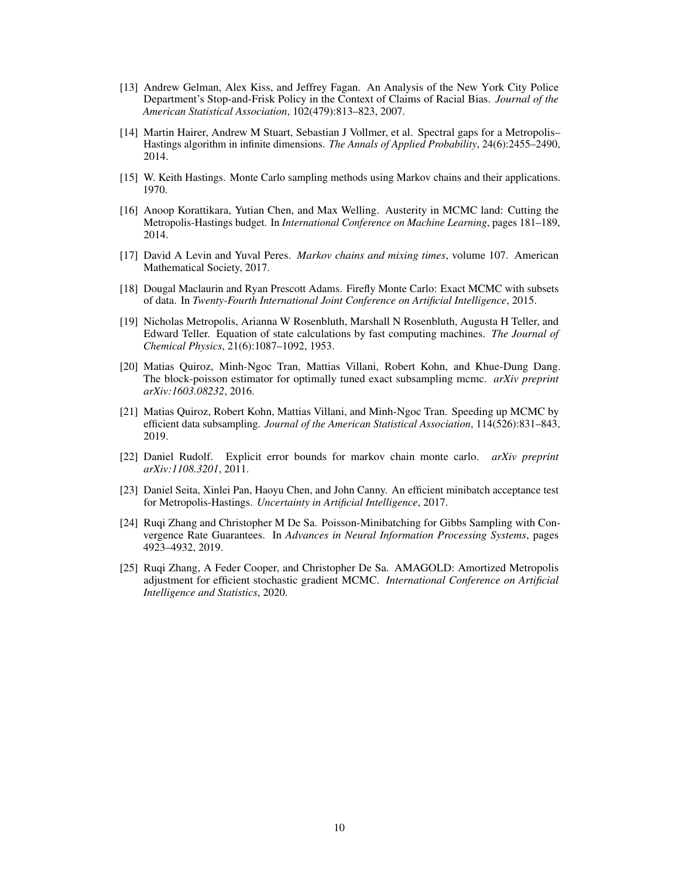- <span id="page-9-12"></span>[13] Andrew Gelman, Alex Kiss, and Jeffrey Fagan. An Analysis of the New York City Police Department's Stop-and-Frisk Policy in the Context of Claims of Racial Bias. *Journal of the American Statistical Association*, 102(479):813–823, 2007.
- <span id="page-9-9"></span>[14] Martin Hairer, Andrew M Stuart, Sebastian J Vollmer, et al. Spectral gaps for a Metropolis– Hastings algorithm in infinite dimensions. *The Annals of Applied Probability*, 24(6):2455–2490, 2014.
- <span id="page-9-0"></span>[15] W. Keith Hastings. Monte Carlo sampling methods using Markov chains and their applications. 1970.
- <span id="page-9-2"></span>[16] Anoop Korattikara, Yutian Chen, and Max Welling. Austerity in MCMC land: Cutting the Metropolis-Hastings budget. In *International Conference on Machine Learning*, pages 181–189, 2014.
- <span id="page-9-8"></span>[17] David A Levin and Yuval Peres. *Markov chains and mixing times*, volume 107. American Mathematical Society, 2017.
- <span id="page-9-6"></span>[18] Dougal Maclaurin and Ryan Prescott Adams. Firefly Monte Carlo: Exact MCMC with subsets of data. In *Twenty-Fourth International Joint Conference on Artificial Intelligence*, 2015.
- <span id="page-9-1"></span>[19] Nicholas Metropolis, Arianna W Rosenbluth, Marshall N Rosenbluth, Augusta H Teller, and Edward Teller. Equation of state calculations by fast computing machines. *The Journal of Chemical Physics*, 21(6):1087–1092, 1953.
- <span id="page-9-3"></span>[20] Matias Quiroz, Minh-Ngoc Tran, Mattias Villani, Robert Kohn, and Khue-Dung Dang. The block-poisson estimator for optimally tuned exact subsampling mcmc. *arXiv preprint arXiv:1603.08232*, 2016.
- <span id="page-9-4"></span>[21] Matias Quiroz, Robert Kohn, Mattias Villani, and Minh-Ngoc Tran. Speeding up MCMC by efficient data subsampling. *Journal of the American Statistical Association*, 114(526):831–843, 2019.
- <span id="page-9-10"></span>[22] Daniel Rudolf. Explicit error bounds for markov chain monte carlo. *arXiv preprint arXiv:1108.3201*, 2011.
- <span id="page-9-5"></span>[23] Daniel Seita, Xinlei Pan, Haoyu Chen, and John Canny. An efficient minibatch acceptance test for Metropolis-Hastings. *Uncertainty in Artificial Intelligence*, 2017.
- <span id="page-9-7"></span>[24] Ruqi Zhang and Christopher M De Sa. Poisson-Minibatching for Gibbs Sampling with Convergence Rate Guarantees. In *Advances in Neural Information Processing Systems*, pages 4923–4932, 2019.
- <span id="page-9-11"></span>[25] Ruqi Zhang, A Feder Cooper, and Christopher De Sa. AMAGOLD: Amortized Metropolis adjustment for efficient stochastic gradient MCMC. *International Conference on Artificial Intelligence and Statistics*, 2020.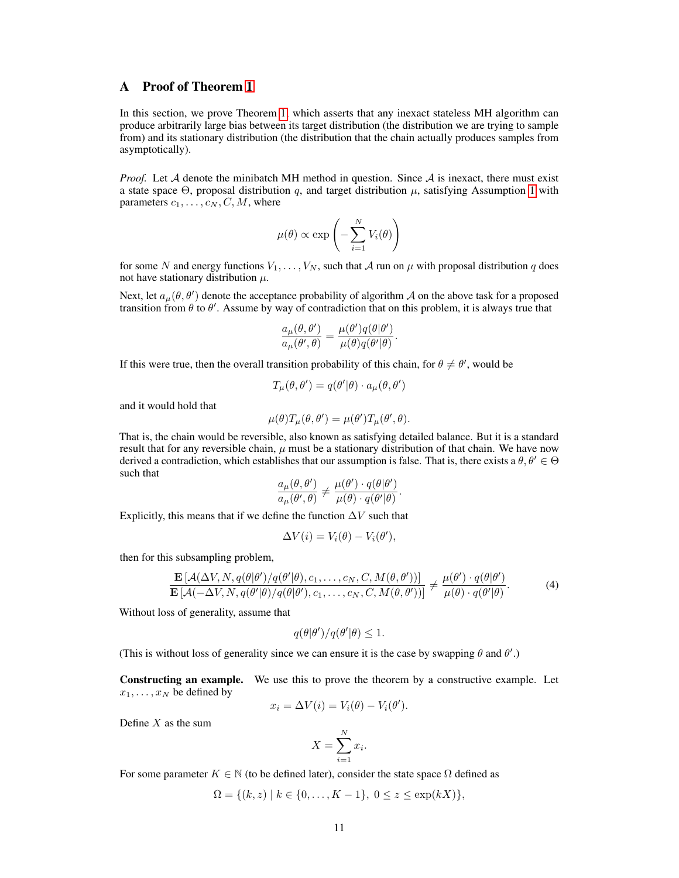# <span id="page-10-0"></span>A Proof of Theorem [1](#page-2-2)

In this section, we prove Theorem [1,](#page-2-2) which asserts that any inexact stateless MH algorithm can produce arbitrarily large bias between its target distribution (the distribution we are trying to sample from) and its stationary distribution (the distribution that the chain actually produces samples from asymptotically).

*Proof.* Let A denote the minibatch MH method in question. Since A is inexact, there must exist a state space Θ, proposal distribution q, and target distribution  $\mu$ , satisfying Assumption [1](#page-1-1) with parameters  $c_1, \ldots, c_N, C, M$ , where

$$
\mu(\theta) \propto \exp\left(-\sum_{i=1}^{N} V_i(\theta)\right)
$$

for some N and energy functions  $V_1, \ldots, V_N$ , such that A run on  $\mu$  with proposal distribution q does not have stationary distribution  $\mu$ .

Next, let  $a_{\mu}(\theta, \theta')$  denote the acceptance probability of algorithm A on the above task for a proposed transition from  $\theta$  to  $\theta'$ . Assume by way of contradiction that on this problem, it is always true that

$$
\frac{a_{\mu}(\theta,\theta')}{a_{\mu}(\theta',\theta)} = \frac{\mu(\theta')q(\theta|\theta')}{\mu(\theta)q(\theta'|\theta)}.
$$

If this were true, then the overall transition probability of this chain, for  $\theta \neq \theta'$ , would be

$$
T_{\mu}(\theta, \theta') = q(\theta'|\theta) \cdot a_{\mu}(\theta, \theta')
$$

and it would hold that

$$
\mu(\theta)T_{\mu}(\theta,\theta') = \mu(\theta')T_{\mu}(\theta',\theta).
$$

That is, the chain would be reversible, also known as satisfying detailed balance. But it is a standard result that for any reversible chain,  $\mu$  must be a stationary distribution of that chain. We have now derived a contradiction, which establishes that our assumption is false. That is, there exists a  $\theta, \theta' \in \Theta$ such that

$$
\frac{a_{\mu}(\theta,\theta')}{a_{\mu}(\theta',\theta)} \neq \frac{\mu(\theta') \cdot q(\theta|\theta')}{\mu(\theta) \cdot q(\theta'|\theta)}.
$$

Explicitly, this means that if we define the function  $\Delta V$  such that

<span id="page-10-1"></span>
$$
\Delta V(i) = V_i(\theta) - V_i(\theta'),
$$

then for this subsampling problem,

$$
\frac{\mathbf{E}\left[\mathcal{A}(\Delta V, N, q(\theta|\theta')/q(\theta'|\theta), c_1, \dots, c_N, C, M(\theta, \theta'))\right]}{\mathbf{E}\left[\mathcal{A}(-\Delta V, N, q(\theta'|\theta)/q(\theta|\theta'), c_1, \dots, c_N, C, M(\theta, \theta'))\right]} \neq \frac{\mu(\theta') \cdot q(\theta|\theta')}{\mu(\theta) \cdot q(\theta'|\theta)}.
$$
\n(4)

Without loss of generality, assume that

$$
q(\theta|\theta')/q(\theta'|\theta) \le 1.
$$

(This is without loss of generality since we can ensure it is the case by swapping  $\theta$  and  $\theta'$ .)

Constructing an example. We use this to prove the theorem by a constructive example. Let  $x_1, \ldots, x_N$  be defined by

$$
x_i = \Delta V(i) = V_i(\theta) - V_i(\theta').
$$

Define  $X$  as the sum

$$
X = \sum_{i=1}^{N} x_i.
$$

For some parameter  $K \in \mathbb{N}$  (to be defined later), consider the state space  $\Omega$  defined as

$$
\Omega = \{(k, z) \mid k \in \{0, \dots, K - 1\}, 0 \le z \le \exp(kX)\},\
$$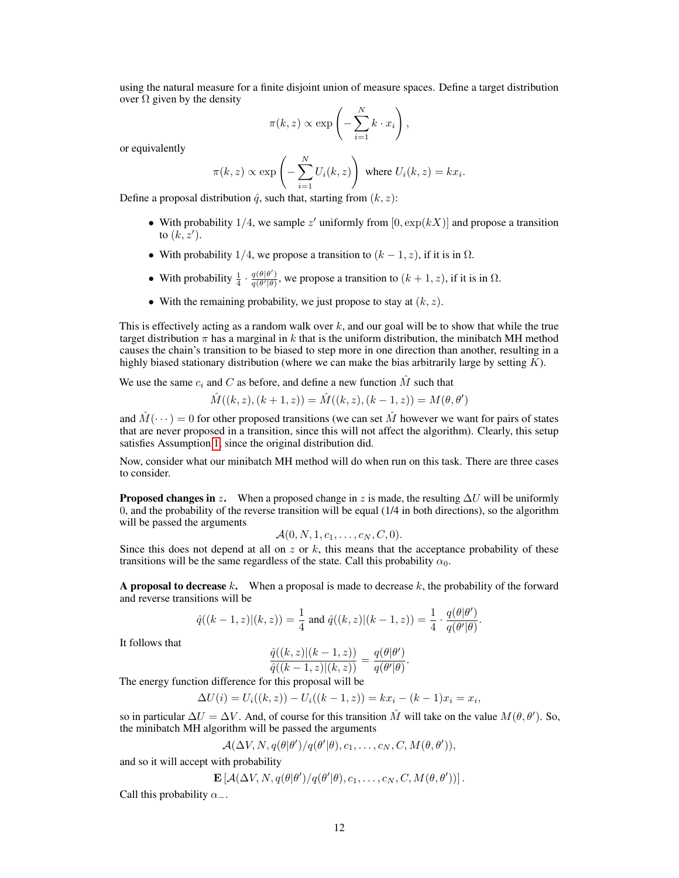using the natural measure for a finite disjoint union of measure spaces. Define a target distribution over  $\Omega$  given by the density

$$
\pi(k, z) \propto \exp\left(-\sum_{i=1}^{N} k \cdot x_i\right),\,
$$

or equivalently

$$
\pi(k, z) \propto \exp\left(-\sum_{i=1}^{N} U_i(k, z)\right) \text{ where } U_i(k, z) = kx_i.
$$

Define a proposal distribution  $\hat{q}$ , such that, starting from  $(k, z)$ :

- With probability 1/4, we sample z' uniformly from  $[0, \exp(kX)]$  and propose a transition to  $(k, z')$ .
- With probability 1/4, we propose a transition to  $(k 1, z)$ , if it is in  $\Omega$ .
- With probability  $\frac{1}{4} \cdot \frac{q(\theta|\theta')}{q(\theta'|\theta)}$  $\frac{q(\theta|\theta)}{q(\theta'|\theta)}$ , we propose a transition to  $(k+1, z)$ , if it is in  $\Omega$ .
- With the remaining probability, we just propose to stay at  $(k, z)$ .

This is effectively acting as a random walk over  $k$ , and our goal will be to show that while the true target distribution  $\pi$  has a marginal in k that is the uniform distribution, the minibatch MH method causes the chain's transition to be biased to step more in one direction than another, resulting in a highly biased stationary distribution (where we can make the bias arbitrarily large by setting  $K$ ).

We use the same  $c_i$  and C as before, and define a new function  $\hat{M}$  such that

$$
\hat{M}((k, z), (k + 1, z)) = \hat{M}((k, z), (k - 1, z)) = M(\theta, \theta')
$$

and  $M(\dots) = 0$  for other proposed transitions (we can set M however we want for pairs of states that are never proposed in a transition, since this will not affect the algorithm). Clearly, this setup satisfies Assumption [1,](#page-1-1) since the original distribution did.

Now, consider what our minibatch MH method will do when run on this task. There are three cases to consider.

**Proposed changes in z.** When a proposed change in z is made, the resulting  $\Delta U$  will be uniformly 0, and the probability of the reverse transition will be equal (1/4 in both directions), so the algorithm will be passed the arguments

$$
\mathcal{A}(0,N,1,c_1,\ldots,c_N,C,0).
$$

Since this does not depend at all on  $z$  or  $k$ , this means that the acceptance probability of these transitions will be the same regardless of the state. Call this probability  $\alpha_0$ .

A proposal to decrease  $k$ . When a proposal is made to decrease  $k$ , the probability of the forward and reverse transitions will be

$$
\hat{q}((k-1,z)|(k,z)) = \frac{1}{4} \text{ and } \hat{q}((k,z)|(k-1,z)) = \frac{1}{4} \cdot \frac{q(\theta|\theta')}{q(\theta'|\theta)}.
$$

It follows that

$$
\frac{\hat{q}((k,z)|(k-1,z))}{\hat{q}((k-1,z)|(k,z))} = \frac{q(\theta|\theta')}{q(\theta'|\theta)}.
$$

The energy function difference for this proposal will be

$$
\Delta U(i) = U_i((k, z)) - U_i((k - 1, z)) = kx_i - (k - 1)x_i = x_i,
$$

so in particular  $\Delta U = \Delta V$ . And, of course for this transition  $\hat{M}$  will take on the value  $M(\theta, \theta')$ . So, the minibatch MH algorithm will be passed the arguments

$$
\mathcal{A}(\Delta V, N, q(\theta|\theta')/q(\theta'|\theta), c_1, \ldots, c_N, C, M(\theta, \theta')),
$$

and so it will accept with probability

$$
\mathbf{E}\left[\mathcal{A}(\Delta V, N, q(\theta|\theta')/q(\theta'|\theta), c_1, \ldots, c_N, C, M(\theta, \theta'))\right].
$$

Call this probability  $\alpha_-\$ .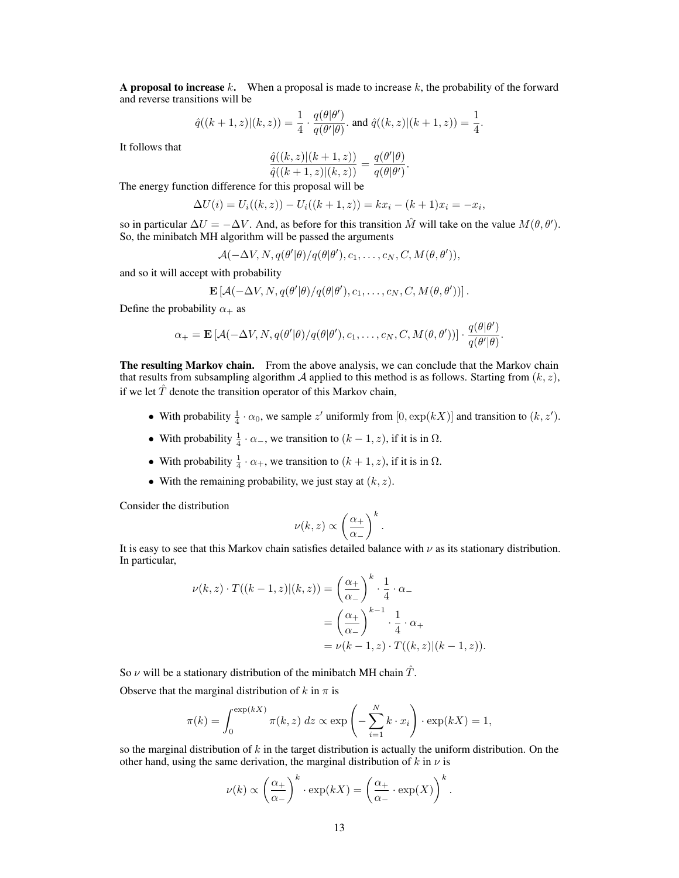A proposal to increase k. When a proposal is made to increase k, the probability of the forward and reverse transitions will be

$$
\hat{q}((k+1,z)|(k,z)) = \frac{1}{4} \cdot \frac{q(\theta|\theta')}{q(\theta'|\theta)}.
$$
 and  $\hat{q}((k,z)|(k+1,z)) = \frac{1}{4}.$ 

It follows that

$$
\frac{\hat{q}((k,z)|(k+1,z))}{\hat{q}((k+1,z)|(k,z))} = \frac{q(\theta'|\theta)}{q(\theta|\theta')}.
$$

The energy function difference for this proposal will be

$$
\Delta U(i) = U_i((k, z)) - U_i((k + 1, z)) = kx_i - (k + 1)x_i = -x_i,
$$

so in particular  $\Delta U = -\Delta V$ . And, as before for this transition  $\hat{M}$  will take on the value  $M(\theta, \theta')$ . So, the minibatch MH algorithm will be passed the arguments

$$
\mathcal{A}(-\Delta V, N, q(\theta'|\theta)/q(\theta|\theta'), c_1, \ldots, c_N, C, M(\theta, \theta')),
$$

and so it will accept with probability

$$
\mathbf{E}\left[\mathcal{A}(-\Delta V, N, q(\theta'|\theta)/q(\theta|\theta'), c_1, \ldots, c_N, C, M(\theta, \theta'))\right].
$$

Define the probability  $\alpha_+$  as

$$
\alpha_+ = \mathbf{E}\left[\mathcal{A}(-\Delta V, N, q(\theta'|\theta)/q(\theta|\theta'), c_1, \dots, c_N, C, M(\theta, \theta'))\right] \cdot \frac{q(\theta|\theta')}{q(\theta'|\theta)}.
$$

The resulting Markov chain. From the above analysis, we can conclude that the Markov chain that results from subsampling algorithm A applied to this method is as follows. Starting from  $(k, z)$ , if we let  $\hat{T}$  denote the transition operator of this Markov chain,

- With probability  $\frac{1}{4} \cdot \alpha_0$ , we sample z' uniformly from  $[0, \exp(kX)]$  and transition to  $(k, z')$ .
- With probability  $\frac{1}{4} \cdot \alpha_{-}$ , we transition to  $(k 1, z)$ , if it is in  $\Omega$ .
- With probability  $\frac{1}{4} \cdot \alpha_+$ , we transition to  $(k+1, z)$ , if it is in  $\Omega$ .
- With the remaining probability, we just stay at  $(k, z)$ .

Consider the distribution

$$
\nu(k,z) \propto \left(\frac{\alpha_+}{\alpha_-}\right)^k.
$$

It is easy to see that this Markov chain satisfies detailed balance with  $\nu$  as its stationary distribution. In particular,

$$
\nu(k, z) \cdot T((k - 1, z)|(k, z)) = \left(\frac{\alpha_+}{\alpha_-}\right)^k \cdot \frac{1}{4} \cdot \alpha_-
$$

$$
= \left(\frac{\alpha_+}{\alpha_-}\right)^{k - 1} \cdot \frac{1}{4} \cdot \alpha_+
$$

$$
= \nu(k - 1, z) \cdot T((k, z)|(k - 1, z)).
$$

So  $\nu$  will be a stationary distribution of the minibatch MH chain  $\hat{T}$ .

Observe that the marginal distribution of k in  $\pi$  is

$$
\pi(k) = \int_0^{\exp(kX)} \pi(k, z) dz \propto \exp\left(-\sum_{i=1}^N k \cdot x_i\right) \cdot \exp(kX) = 1,
$$

so the marginal distribution of  $k$  in the target distribution is actually the uniform distribution. On the other hand, using the same derivation, the marginal distribution of k in  $\nu$  is

$$
\nu(k) \propto \left(\frac{\alpha_+}{\alpha_-}\right)^k \cdot \exp(kX) = \left(\frac{\alpha_+}{\alpha_-} \cdot \exp(X)\right)^k.
$$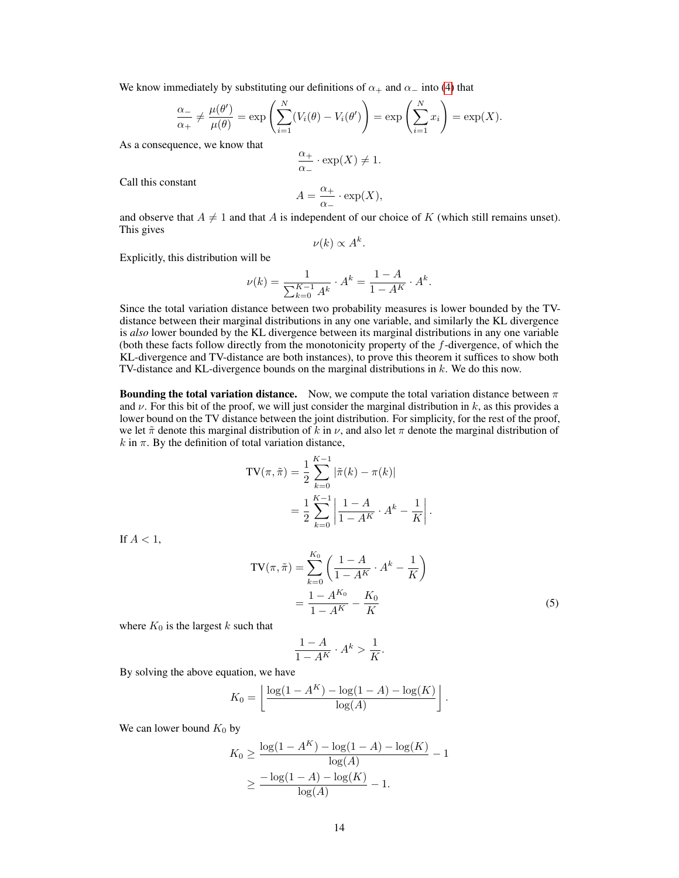We know immediately by substituting our definitions of  $\alpha_+$  and  $\alpha_-$  into [\(4\)](#page-10-1) that

$$
\frac{\alpha_{-}}{\alpha_{+}} \neq \frac{\mu(\theta')}{\mu(\theta)} = \exp\left(\sum_{i=1}^{N} (V_{i}(\theta) - V_{i}(\theta'))\right) = \exp\left(\sum_{i=1}^{N} x_{i}\right) = \exp(X).
$$

As a consequence, we know that

$$
\frac{\alpha_+}{\alpha_-} \cdot \exp(X) \neq 1.
$$

Call this constant

$$
A = \frac{\alpha_+}{\alpha_-} \cdot \exp(X),
$$

and observe that  $A \neq 1$  and that A is independent of our choice of K (which still remains unset). This gives

$$
\nu(k) \propto A^k.
$$

Explicitly, this distribution will be

$$
\nu(k) = \frac{1}{\sum_{k=0}^{K-1} A^k} \cdot A^k = \frac{1 - A}{1 - A^K} \cdot A^k.
$$

Since the total variation distance between two probability measures is lower bounded by the TVdistance between their marginal distributions in any one variable, and similarly the KL divergence is *also* lower bounded by the KL divergence between its marginal distributions in any one variable (both these facts follow directly from the monotonicity property of the f-divergence, of which the KL-divergence and TV-distance are both instances), to prove this theorem it suffices to show both TV-distance and KL-divergence bounds on the marginal distributions in k. We do this now.

**Bounding the total variation distance.** Now, we compute the total variation distance between  $\pi$ and  $\nu$ . For this bit of the proof, we will just consider the marginal distribution in k, as this provides a lower bound on the TV distance between the joint distribution. For simplicity, for the rest of the proof, we let  $\tilde{\pi}$  denote this marginal distribution of k in  $\nu$ , and also let  $\pi$  denote the marginal distribution of  $k$  in  $\pi$ . By the definition of total variation distance,

$$
TV(\pi, \tilde{\pi}) = \frac{1}{2} \sum_{k=0}^{K-1} |\tilde{\pi}(k) - \pi(k)|
$$
  
= 
$$
\frac{1}{2} \sum_{k=0}^{K-1} \left| \frac{1 - A}{1 - A^K} \cdot A^k - \frac{1}{K} \right|
$$

If  $A < 1$ ,

$$
TV(\pi, \tilde{\pi}) = \sum_{k=0}^{K_0} \left( \frac{1 - A}{1 - A^K} \cdot A^k - \frac{1}{K} \right)
$$

$$
= \frac{1 - A^{K_0}}{1 - A^K} - \frac{K_0}{K}
$$
(5)

<span id="page-13-0"></span>.

where  $K_0$  is the largest k such that

$$
\frac{1-A}{1-A^K} \cdot A^k > \frac{1}{K}.
$$

By solving the above equation, we have

$$
K_0 = \left\lfloor \frac{\log(1 - A^K) - \log(1 - A) - \log(K)}{\log(A)} \right\rfloor.
$$

We can lower bound  $K_0$  by

$$
K_0 \ge \frac{\log(1 - A^K) - \log(1 - A) - \log(K)}{\log(A)} - 1
$$
  
 
$$
\ge \frac{-\log(1 - A) - \log(K)}{\log(A)} - 1.
$$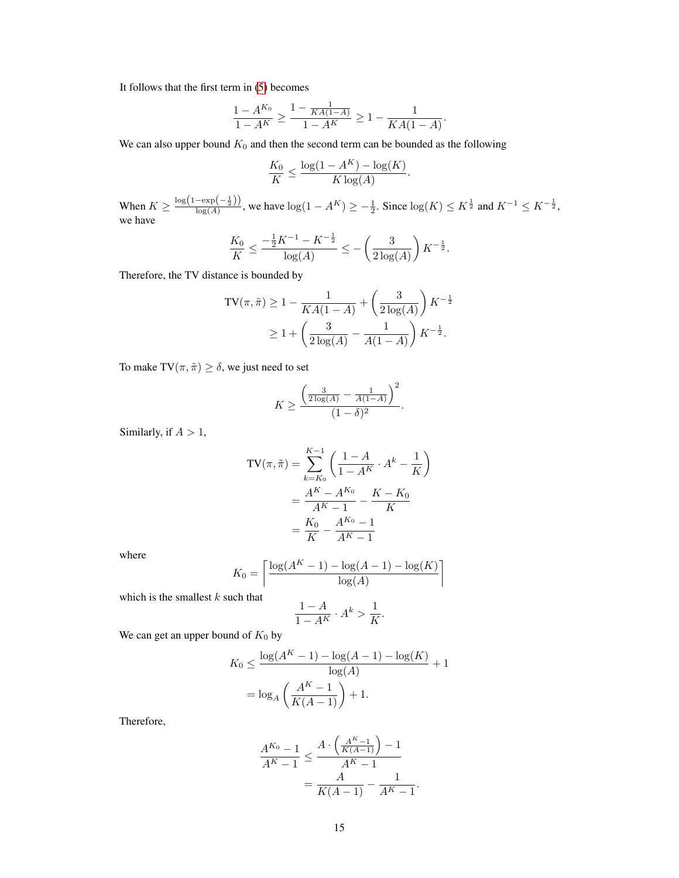It follows that the first term in [\(5\)](#page-13-0) becomes

$$
\frac{1 - A^{K_0}}{1 - A^K} \ge \frac{1 - \frac{1}{KA(1 - A)}}{1 - A^K} \ge 1 - \frac{1}{KA(1 - A)}.
$$

We can also upper bound  $K_0$  and then the second term can be bounded as the following

$$
\frac{K_0}{K} \le \frac{\log(1 - A^K) - \log(K)}{K \log(A)}.
$$

When  $K \geq \frac{\log(1 - \exp(-\frac{1}{2}))}{\log(A)}$ , we have  $\log(1 - A^K) \geq -\frac{1}{2}$ . Since  $\log(K) \leq K^{\frac{1}{2}}$  and  $K^{-1} \leq K^{-\frac{1}{2}}$ , we have

$$
\frac{K_0}{K} \leq \frac{-\frac{1}{2}K^{-1} - K^{-\frac{1}{2}}}{\log(A)} \leq -\left(\frac{3}{2\log(A)}\right)K^{-\frac{1}{2}}.
$$

Therefore, the TV distance is bounded by

$$
TV(\pi, \tilde{\pi}) \ge 1 - \frac{1}{KA(1-A)} + \left(\frac{3}{2\log(A)}\right)K^{-\frac{1}{2}}
$$
  
 
$$
\ge 1 + \left(\frac{3}{2\log(A)} - \frac{1}{A(1-A)}\right)K^{-\frac{1}{2}}.
$$

To make TV $(\pi, \tilde{\pi}) \ge \delta$ , we just need to set

$$
K \ge \frac{\left(\frac{3}{2\log(A)} - \frac{1}{A(1-A)}\right)^2}{(1-\delta)^2}.
$$

Similarly, if  $A > 1$ ,

$$
TV(\pi, \tilde{\pi}) = \sum_{k=K_0}^{K-1} \left( \frac{1-A}{1-A^K} \cdot A^k - \frac{1}{K} \right)
$$
  
= 
$$
\frac{A^K - A^{K_0}}{A^K - 1} - \frac{K - K_0}{K}
$$
  
= 
$$
\frac{K_0}{K} - \frac{A^{K_0} - 1}{A^K - 1}
$$

where

$$
K_0 = \left\lceil \frac{\log(A^K - 1) - \log(A - 1) - \log(K)}{\log(A)} \right\rceil
$$

which is the smallest  $k$  such that

$$
\frac{1-A}{1-A^K}\cdot A^k>\frac{1}{K}.
$$

We can get an upper bound of  $K_0$  by

$$
K_0 \le \frac{\log(A^K - 1) - \log(A - 1) - \log(K)}{\log(A)} + 1
$$
  
=  $\log_A \left( \frac{A^K - 1}{K(A - 1)} \right) + 1.$ 

Therefore,

$$
\frac{A^{K_0} - 1}{A^{K} - 1} \le \frac{A \cdot \left(\frac{A^{K} - 1}{K(A - 1)}\right) - 1}{A^{K} - 1}
$$

$$
= \frac{A}{K(A - 1)} - \frac{1}{A^{K} - 1}.
$$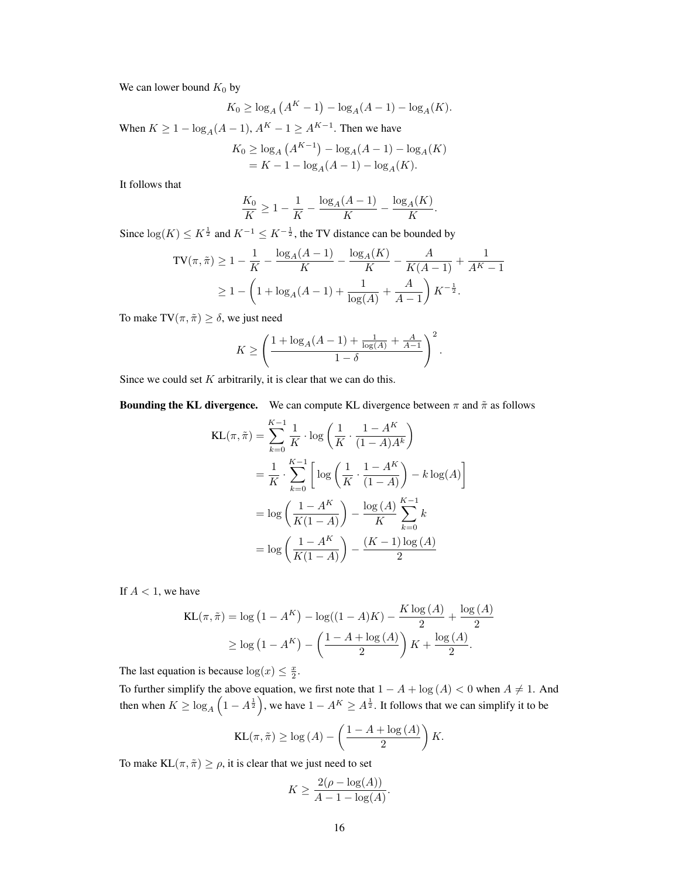We can lower bound  $K_0$  by

$$
K_0 \ge \log_A (A^K - 1) - \log_A (A - 1) - \log_A (K).
$$

When  $K \ge 1 - \log_A(A-1)$ ,  $A^K - 1 \ge A^{K-1}$ . Then we have

$$
K_0 \ge \log_A (A^{K-1}) - \log_A (A-1) - \log_A (K)
$$
  
=  $K - 1 - \log_A (A - 1) - \log_A (K)$ .

It follows that

$$
\frac{K_0}{K} \ge 1 - \frac{1}{K} - \frac{\log_A(A-1)}{K} - \frac{\log_A(K)}{K}.
$$

Since  $log(K) \le K^{\frac{1}{2}}$  and  $K^{-1} \le K^{-\frac{1}{2}}$ , the TV distance can be bounded by

$$
TV(\pi, \tilde{\pi}) \ge 1 - \frac{1}{K} - \frac{\log_A(A-1)}{K} - \frac{\log_A(K)}{K} - \frac{A}{K(A-1)} + \frac{1}{A^{K}-1}
$$
  
 
$$
\ge 1 - \left(1 + \log_A(A-1) + \frac{1}{\log(A)} + \frac{A}{A-1}\right)K^{-\frac{1}{2}}.
$$

To make TV $(\pi, \tilde{\pi}) \ge \delta$ , we just need

$$
K \ge \left(\frac{1 + \log_A(A-1) + \frac{1}{\log(A)} + \frac{A}{A-1}}{1 - \delta}\right)^2.
$$

Since we could set  $K$  arbitrarily, it is clear that we can do this.

**Bounding the KL divergence.** We can compute KL divergence between  $\pi$  and  $\tilde{\pi}$  as follows

$$
KL(\pi, \tilde{\pi}) = \sum_{k=0}^{K-1} \frac{1}{K} \cdot \log \left( \frac{1}{K} \cdot \frac{1 - A^{K}}{(1 - A)A^{k}} \right)
$$
  
=  $\frac{1}{K} \cdot \sum_{k=0}^{K-1} \left[ \log \left( \frac{1}{K} \cdot \frac{1 - A^{K}}{(1 - A)} \right) - k \log(A) \right]$   
=  $\log \left( \frac{1 - A^{K}}{K(1 - A)} \right) - \frac{\log(A)}{K} \sum_{k=0}^{K-1} k$   
=  $\log \left( \frac{1 - A^{K}}{K(1 - A)} \right) - \frac{(K - 1) \log(A)}{2}$ 

If  $A < 1$ , we have

$$
KL(\pi, \tilde{\pi}) = \log (1 - A^{K}) - \log((1 - A)K) - \frac{K \log (A)}{2} + \frac{\log (A)}{2}
$$

$$
\geq \log (1 - A^{K}) - \left(\frac{1 - A + \log (A)}{2}\right)K + \frac{\log (A)}{2}.
$$

The last equation is because  $\log(x) \leq \frac{x}{2}$ .

To further simplify the above equation, we first note that  $1 - A + \log(A) < 0$  when  $A \neq 1$ . And then when  $K \geq \log_A\left(1-A^{\frac{1}{2}}\right)$ , we have  $1-A^K \geq A^{\frac{1}{2}}$ . It follows that we can simplify it to be

$$
KL(\pi, \tilde{\pi}) \ge \log(A) - \left(\frac{1 - A + \log(A)}{2}\right) K.
$$

To make  $KL(\pi, \tilde{\pi}) \ge \rho$ , it is clear that we just need to set

$$
K \ge \frac{2(\rho - \log(A))}{A - 1 - \log(A)}.
$$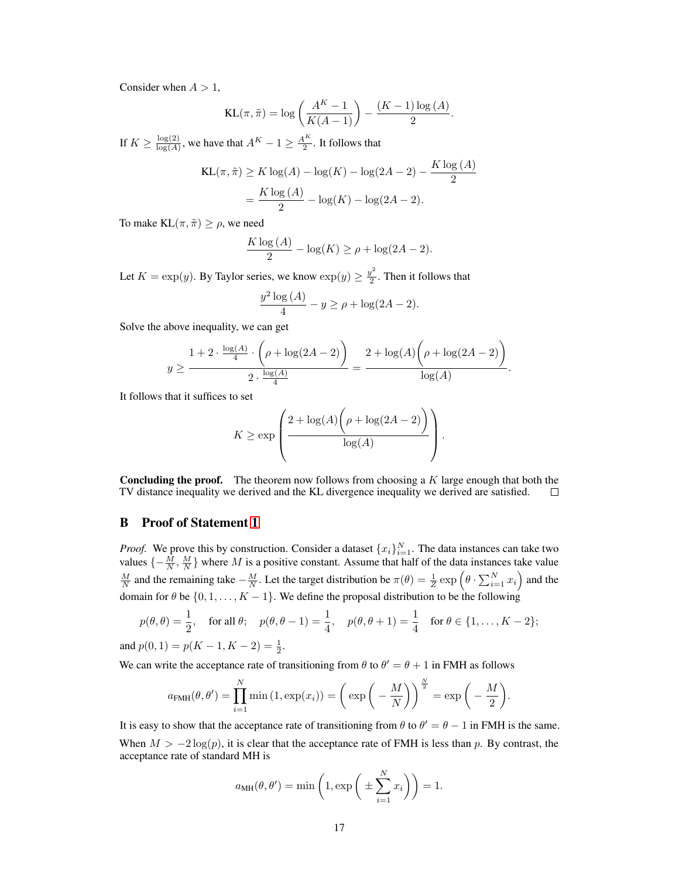Consider when  $A > 1$ ,

$$
KL(\pi, \tilde{\pi}) = \log\left(\frac{A^K - 1}{K(A - 1)}\right) - \frac{(K - 1)\log(A)}{2}.
$$

If  $K \geq \frac{\log(2)}{\log(A)}$  $\frac{\log(2)}{\log(A)}$ , we have that  $A^K - 1 \ge \frac{A^K}{2}$  $\frac{1}{2}$ . It follows that

$$
KL(\pi, \tilde{\pi}) \ge K \log(A) - \log(K) - \log(2A - 2) - \frac{K \log(A)}{2}
$$

$$
= \frac{K \log(A)}{2} - \log(K) - \log(2A - 2).
$$

To make  $KL(\pi, \tilde{\pi}) \ge \rho$ , we need

$$
\frac{K \log (A)}{2} - \log(K) \ge \rho + \log(2A - 2).
$$

Let  $K = \exp(y)$ . By Taylor series, we know  $\exp(y) \geq \frac{y^2}{2}$  $\frac{\sqrt{2}}{2}$ . Then it follows that

$$
\frac{y^2 \log (A)}{4} - y \ge \rho + \log(2A - 2).
$$

Solve the above inequality, we can get

$$
y \ge \frac{1 + 2 \cdot \frac{\log(A)}{4} \cdot \left(\rho + \log(2A - 2)\right)}{2 \cdot \frac{\log(A)}{4}} = \frac{2 + \log(A) \left(\rho + \log(2A - 2)\right)}{\log(A)}.
$$

It follows that it suffices to set

$$
K \ge \exp\left(\frac{2 + \log(A)\left(\rho + \log(2A - 2)\right)}{\log(A)}\right).
$$

**Concluding the proof.** The theorem now follows from choosing a  $K$  large enough that both the TV distance inequality we derived and the KL divergence inequality we derived are satisfied.  $\Box$ 

### <span id="page-16-0"></span>B Proof of Statement [1](#page-3-2)

*Proof.* We prove this by construction. Consider a dataset  $\{x_i\}_{i=1}^N$ . The data instances can take two values  $\{-\frac{M}{N}, \frac{M}{N}\}\$  where M is a positive constant. Assume that half of the data instances take value  $\frac{M}{N}$  and the remaining take  $-\frac{M}{N}$ . Let the target distribution be  $\pi(\theta) = \frac{1}{Z} \exp\left(\theta \cdot \sum_{i=1}^{N} x_i\right)$  and the domain for  $\theta$  be  $\{0, 1, \ldots, K - 1\}$ . We define the proposal distribution to be the following

$$
p(\theta, \theta) = \frac{1}{2}
$$
, for all  $\theta$ ;  $p(\theta, \theta - 1) = \frac{1}{4}$ ,  $p(\theta, \theta + 1) = \frac{1}{4}$  for  $\theta \in \{1, ..., K - 2\}$ ;

and  $p(0, 1) = p(K - 1, K - 2) = \frac{1}{2}$ .

We can write the acceptance rate of transitioning from  $\theta$  to  $\theta' = \theta + 1$  in FMH as follows

$$
a_{\text{FMH}}(\theta, \theta') = \prod_{i=1}^{N} \min(1, \exp(x_i)) = \left(\exp\left(-\frac{M}{N}\right)\right)^{\frac{N}{2}} = \exp\left(-\frac{M}{2}\right).
$$

It is easy to show that the acceptance rate of transitioning from  $\theta$  to  $\theta' = \theta - 1$  in FMH is the same.

When  $M > -2 \log(p)$ , it is clear that the acceptance rate of FMH is less than p. By contrast, the acceptance rate of standard MH is

$$
a_{\text{MH}}(\theta, \theta') = \min\left(1, \exp\left(\pm \sum_{i=1}^{N} x_i\right)\right) = 1.
$$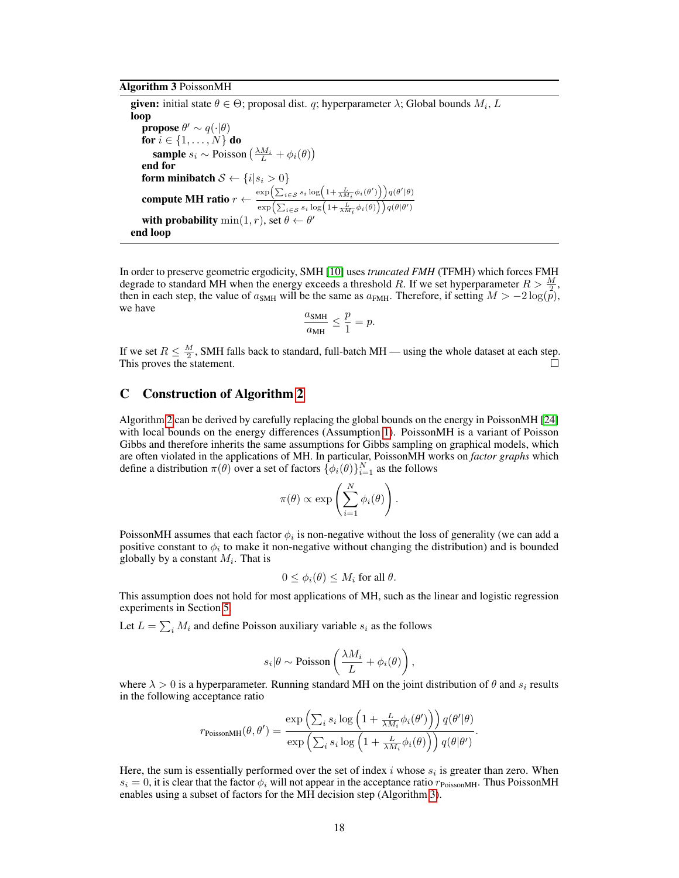<span id="page-17-1"></span>Algorithm 3 PoissonMH

**given:** initial state  $\theta \in \Theta$ ; proposal dist. q; hyperparameter  $\lambda$ ; Global bounds  $M_i$ , L loop **propose**  $\theta' \sim q(\cdot | \theta)$ for  $i \in \{1, \ldots, N\}$  do **sample**  $s_i \sim \text{Poisson}\left(\frac{\lambda M_i}{L} + \phi_i(\theta)\right)$ end for form minibatch  $\mathcal{S} \leftarrow \{i|s_i > 0\}$ compute MH ratio  $r \leftarrow \frac{\exp\left(\sum_{i \in S} s_i \log\left(1 + \frac{L}{\lambda M_i} \phi_i(\theta')\right)\right) q(\theta'|\theta)}{\left(\sum_{i \in S} s_i \log\left(1 + \frac{L}{\lambda M_i} \phi_i(\theta')\right)\right) q(\theta'|\theta)}$  $\exp\left(\sum_{i \in \mathcal{S}} s_i \log\left(1+\frac{L}{\lambda M_i} \phi_i(\theta)\right)\right) q(\theta | \theta')$ with probability  $\min(1, r)$ , set  $\theta$   $\cdot$  $\prime$ end loop

In order to preserve geometric ergodicity, SMH [\[10\]](#page-8-4) uses *truncated FMH* (TFMH) which forces FMH degrade to standard MH when the energy exceeds a threshold R. If we set hyperparameter  $R > \frac{M}{2}$ , then in each step, the value of  $a_{SMH}$  will be the same as  $a_{FMH}$ . Therefore, if setting  $M > -2 \log(\tilde{p})$ , we have

$$
\frac{a_{\text{SMH}}}{a_{\text{MH}}} \le \frac{p}{1} = p.
$$

If we set  $R \leq \frac{M}{2}$ , SMH falls back to standard, full-batch MH — using the whole dataset at each step. This proves the statement.  $\Box$ 

### <span id="page-17-0"></span>C Construction of Algorithm [2](#page-4-0)

Algorithm [2](#page-4-0) can be derived by carefully replacing the global bounds on the energy in PoissonMH [\[24\]](#page-9-7) with local bounds on the energy differences (Assumption [1\)](#page-1-1). PoissonMH is a variant of Poisson Gibbs and therefore inherits the same assumptions for Gibbs sampling on graphical models, which are often violated in the applications of MH. In particular, PoissonMH works on *factor graphs* which define a distribution  $\pi(\theta)$  over a set of factors  $\{\phi_i(\theta)\}_{i=1}^N$  as the follows

$$
\pi(\theta) \propto \exp\left(\sum_{i=1}^N \phi_i(\theta)\right).
$$

PoissonMH assumes that each factor  $\phi_i$  is non-negative without the loss of generality (we can add a positive constant to  $\phi_i$  to make it non-negative without changing the distribution) and is bounded globally by a constant  $M_i$ . That is

$$
0 \leq \phi_i(\theta) \leq M_i
$$
 for all  $\theta$ .

This assumption does not hold for most applications of MH, such as the linear and logistic regression experiments in Section [5.](#page-5-1)

Let  $L = \sum_i M_i$  and define Poisson auxiliary variable  $s_i$  as the follows

$$
s_i|\theta \sim \text{Poisson}\left(\frac{\lambda M_i}{L} + \phi_i(\theta)\right),\,
$$

where  $\lambda > 0$  is a hyperparameter. Running standard MH on the joint distribution of  $\theta$  and  $s_i$  results in the following acceptance ratio

$$
r_{\text{PoissonMH}}(\theta, \theta') = \frac{\exp\left(\sum_i s_i \log\left(1 + \frac{L}{\lambda M_i} \phi_i(\theta')\right)\right) q(\theta'|\theta)}{\exp\left(\sum_i s_i \log\left(1 + \frac{L}{\lambda M_i} \phi_i(\theta)\right)\right) q(\theta|\theta')}.
$$

Here, the sum is essentially performed over the set of index i whose  $s_i$  is greater than zero. When  $s_i = 0$ , it is clear that the factor  $\phi_i$  will not appear in the acceptance ratio  $r_{\text{PoissonMH}}$ . Thus PoissonMH enables using a subset of factors for the MH decision step (Algorithm [3\)](#page-17-1).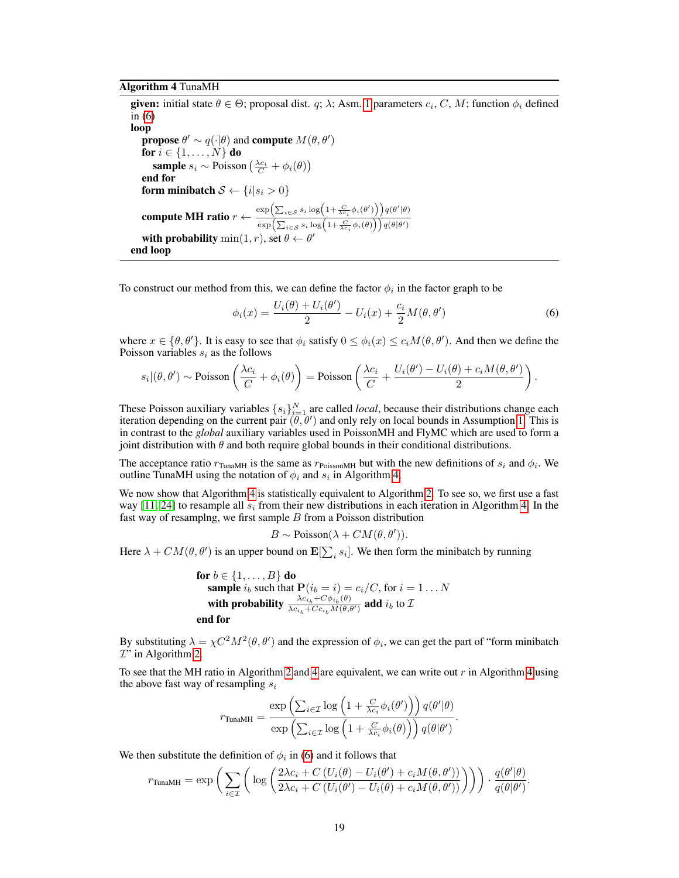#### <span id="page-18-1"></span>Algorithm 4 TunaMH

**given:** initial state  $\theta \in \Theta$ ; proposal dist. q;  $\lambda$ ; Asm. [1](#page-1-1) parameters  $c_i$ , C, M; function  $\phi_i$  defined in [\(6\)](#page-18-0) loop **propose**  $\theta' \sim q(\cdot | \theta)$  and **compute**  $M(\theta, \theta')$ for  $i \in \{1, \ldots, N\}$  do **sample**  $s_i \sim \text{Poisson}\left(\frac{\lambda c_i}{C} + \phi_i(\theta)\right)$ end for form minibatch  $S \leftarrow \{i | s_i > 0\}$ compute MH ratio  $r \leftarrow \frac{\exp\left(\sum_{i \in S} s_i \log\left(1 + \frac{C}{\Delta c_i} \phi_i(\theta')\right)\right) q(\theta'|\theta)}{\left(\sum_{i \in S} s_i \log\left(1 + \frac{C}{\Delta c_i} \phi_i(\theta')\right)\right) q(\theta'|\theta)}$  $\exp\left(\sum_{i \in \mathcal{S}} s_i \log\left(1 + \frac{C}{\lambda c_i} \phi_i(\theta)\right)\right) q(\theta | \theta')$ with probability  $\min(1, r)$ , set  $\theta \leftarrow \theta$  $\prime$ end loop

To construct our method from this, we can define the factor  $\phi_i$  in the factor graph to be

<span id="page-18-0"></span>
$$
\phi_i(x) = \frac{U_i(\theta) + U_i(\theta')}{2} - U_i(x) + \frac{c_i}{2}M(\theta, \theta')
$$
\n(6)

where  $x \in \{\theta, \theta'\}$ . It is easy to see that  $\phi_i$  satisfy  $0 \le \phi_i(x) \le c_i M(\theta, \theta')$ . And then we define the Poisson variables  $s_i$  as the follows

$$
s_i|(\theta, \theta') \sim \text{Poisson}\left(\frac{\lambda c_i}{C} + \phi_i(\theta)\right) = \text{Poisson}\left(\frac{\lambda c_i}{C} + \frac{U_i(\theta') - U_i(\theta) + c_i M(\theta, \theta')}{2}\right).
$$

These Poisson auxiliary variables  $\{s_i\}_{i=1}^N$  are called *local*, because their distributions change each iteration depending on the current pair  $(\theta, \theta')$  and only rely on local bounds in Assumption [1.](#page-1-1) This is in contrast to the *global* auxiliary variables used in PoissonMH and FlyMC which are used to form a joint distribution with  $\theta$  and both require global bounds in their conditional distributions.

The acceptance ratio  $r_{\text{TunaMH}}$  is the same as  $r_{\text{PoissonMH}}$  but with the new definitions of  $s_i$  and  $\phi_i$ . We outline TunaMH using the notation of  $\phi_i$  and  $s_i$  in Algorithm [4.](#page-18-1)

We now show that Algorithm [4](#page-18-1) is statistically equivalent to Algorithm [2.](#page-4-0) To see so, we first use a fast way [\[11,](#page-8-8) [24\]](#page-9-7) to resample all  $s_i$  from their new distributions in each iteration in Algorithm [4.](#page-18-1) In the fast way of resamplng, we first sample  $B$  from a Poisson distribution

$$
B \sim \text{Poisson}(\lambda + CM(\theta, \theta')).
$$

Here  $\lambda + CM(\theta, \theta')$  is an upper bound on  $\mathbf{E}[\sum_i s_i]$ . We then form the minibatch by running

for 
$$
b \in \{1, ..., B\}
$$
 do  
\nsample  $i_b$  such that  $\mathbf{P}(i_b = i) = c_i/C$ , for  $i = 1...N$   
\nwith probability  $\frac{\lambda c_{i_b} + C\phi_{i_b}(\theta)}{\lambda c_{i_b} + C c_{i_b} M(\theta, \theta')}$  add  $i_b$  to  $\mathcal{I}$   
\nend for

By substituting  $\lambda = \chi C^2 M^2(\theta, \theta')$  and the expression of  $\phi_i$ , we can get the part of "form minibatch  $T'$  in Algorithm [2.](#page-4-0)

To see that the MH ratio in Algorithm [2](#page-4-0) and [4](#page-18-1) are equivalent, we can write out  $r$  in Algorithm 4 using the above fast way of resampling  $s_i$ 

$$
r_{\text{TunaMH}} = \frac{\exp\left(\sum_{i\in\mathcal{I}}\log\left(1+\frac{C}{\lambda c_i}\phi_i(\theta')\right)\right)q(\theta'|\theta)}{\exp\left(\sum_{i\in\mathcal{I}}\log\left(1+\frac{C}{\lambda c_i}\phi_i(\theta)\right)\right)q(\theta|\theta')}.
$$

We then substitute the definition of  $\phi_i$  in [\(6\)](#page-18-0) and it follows that

$$
r_{\text{TunaMH}} = \exp\bigg(\sum_{i\in\mathcal{I}} \bigg(\log\bigg(\frac{2\lambda c_i + C\left(U_i(\theta) - U_i(\theta') + c_i M(\theta, \theta')\right)}{2\lambda c_i + C\left(U_i(\theta') - U_i(\theta) + c_i M(\theta, \theta')\right)}\bigg)\bigg) \cdot \frac{q(\theta'|\theta)}{q(\theta|\theta')}.
$$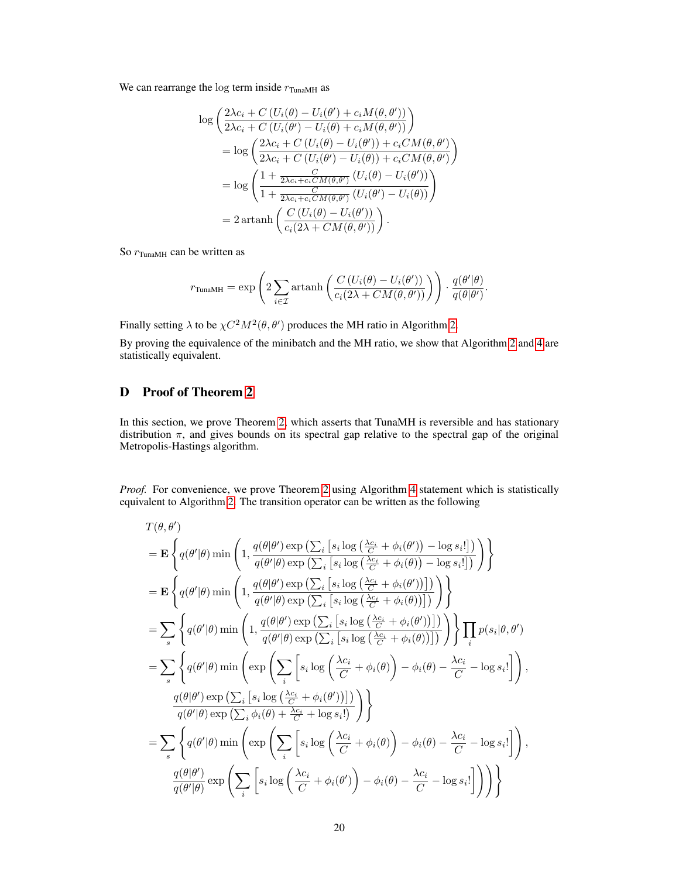We can rearrange the log term inside  $r_{\text{TunaMH}}$  as

$$
\log\left(\frac{2\lambda c_i + C\left(U_i(\theta) - U_i(\theta') + c_i M(\theta, \theta')\right)}{2\lambda c_i + C\left(U_i(\theta') - U_i(\theta) + c_i M(\theta, \theta')\right)}\right)
$$
\n
$$
= \log\left(\frac{2\lambda c_i + C\left(U_i(\theta) - U_i(\theta')\right) + c_i CM(\theta, \theta')}{2\lambda c_i + C\left(U_i(\theta') - U_i(\theta)\right) + c_i CM(\theta, \theta')}\right)
$$
\n
$$
= \log\left(\frac{1 + \frac{C}{2\lambda c_i + c_i CM(\theta, \theta')}}{1 + \frac{C}{2\lambda c_i + c_i CM(\theta, \theta')}}\frac{\left(U_i(\theta) - U_i(\theta')\right)}{\left(U_i(\theta') - U_i(\theta)\right)}\right)
$$
\n
$$
= 2 \operatorname{artanh}\left(\frac{C\left(U_i(\theta) - U_i(\theta')\right)}{c_i (2\lambda + CM(\theta, \theta'))}\right).
$$

So  $r_{\text{TunaMH}}$  can be written as

$$
r_{\text{TunaMH}} = \exp\left(2\sum_{i\in\mathcal{I}}\operatorname{artanh}\left(\frac{C\left(U_i(\theta) - U_i(\theta')\right)}{c_i(2\lambda + CM(\theta, \theta'))}\right)\right) \cdot \frac{q(\theta'|\theta)}{q(\theta|\theta')}.
$$

Finally setting  $\lambda$  to be  $\chi C^2 M^2(\theta, \theta')$  produces the MH ratio in Algorithm [2.](#page-4-0)

By proving the equivalence of the minibatch and the MH ratio, we show that Algorithm [2](#page-4-0) and [4](#page-18-1) are statistically equivalent.

# <span id="page-19-0"></span>D Proof of Theorem [2](#page-4-1)

In this section, we prove Theorem [2,](#page-4-1) which asserts that TunaMH is reversible and has stationary distribution  $\pi$ , and gives bounds on its spectral gap relative to the spectral gap of the original Metropolis-Hastings algorithm.

*Proof.* For convenience, we prove Theorem [2](#page-4-1) using Algorithm [4](#page-18-1) statement which is statistically equivalent to Algorithm [2.](#page-4-0) The transition operator can be written as the following

$$
T(\theta, \theta') = \mathbf{E} \left\{ q(\theta'|\theta) \min \left( 1, \frac{q(\theta|\theta') \exp \left( \sum_{i} \left[ s_{i} \log \left( \frac{\lambda c_{i}}{C} + \phi_{i}(\theta') \right) - \log s_{i}! \right] \right)}{q(\theta'|\theta) \exp \left( \sum_{i} \left[ s_{i} \log \left( \frac{\lambda c_{i}}{C} + \phi_{i}(\theta) \right) - \log s_{i}! \right] \right)} \right) \right\}
$$
  
\n
$$
= \mathbf{E} \left\{ q(\theta'|\theta) \min \left( 1, \frac{q(\theta|\theta') \exp \left( \sum_{i} \left[ s_{i} \log \left( \frac{\lambda c_{i}}{C} + \phi_{i}(\theta') \right) \right] \right)}{q(\theta'|\theta) \exp \left( \sum_{i} \left[ s_{i} \log \left( \frac{\lambda c_{i}}{C} + \phi_{i}(\theta') \right] \right]} \right)} \right\}
$$
  
\n
$$
= \sum_{s} \left\{ q(\theta'|\theta) \min \left( 1, \frac{q(\theta|\theta') \exp \left( \sum_{i} \left[ s_{i} \log \left( \frac{\lambda c_{i}}{C} + \phi_{i}(\theta') \right] \right] \right)}{q(\theta'|\theta) \exp \left( \sum_{i} \left[ s_{i} \log \left( \frac{\lambda c_{i}}{C} + \phi_{i}(\theta) \right) \right] \right)} \right) \right\}
$$
  
\n
$$
= \sum_{s} \left\{ q(\theta'|\theta) \min \left( \exp \left( \sum_{i} \left[ s_{i} \log \left( \frac{\lambda c_{i}}{C} + \phi_{i}(\theta) \right) - \phi_{i}(\theta) - \frac{\lambda c_{i}}{C} - \log s_{i}! \right] \right) \right\},
$$
  
\n
$$
\frac{q(\theta|\theta') \exp \left( \sum_{i} \left[ s_{i} \log \left( \frac{\lambda c_{i}}{C} + \phi_{i}(\theta) \right) \right] \right)}{q(\theta'|\theta) \exp \left( \sum_{i} \phi_{i}(\theta) + \frac{\lambda c_{i}}{C} + \log s_{i}! \right)} \right) \right\}
$$
  
\n
$$
= \sum_{s} \
$$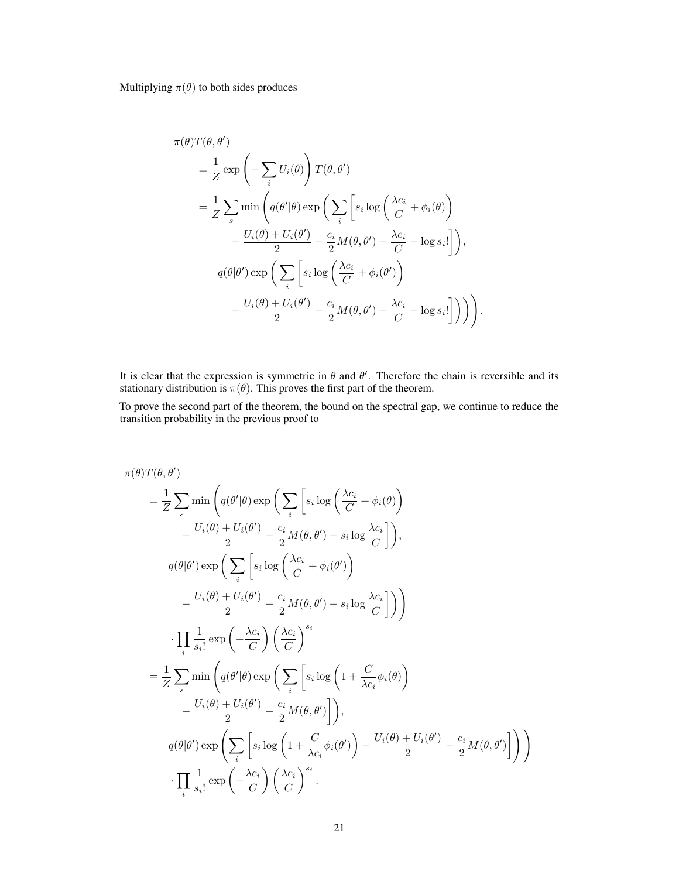Multiplying  $\pi(\theta)$  to both sides produces

$$
\pi(\theta)T(\theta,\theta')
$$
\n
$$
= \frac{1}{Z} \exp\left(-\sum_{i} U_{i}(\theta)\right) T(\theta,\theta')
$$
\n
$$
= \frac{1}{Z} \sum_{s} \min\left(q(\theta'|\theta) \exp\left(\sum_{i} \left[s_{i} \log\left(\frac{\lambda c_{i}}{C} + \phi_{i}(\theta)\right)\right)\right.\right.\right.
$$
\n
$$
- \frac{U_{i}(\theta) + U_{i}(\theta')}{2} - \frac{c_{i}}{2} M(\theta,\theta') - \frac{\lambda c_{i}}{C} - \log s_{i}!\right),
$$
\n
$$
q(\theta|\theta') \exp\left(\sum_{i} \left[s_{i} \log\left(\frac{\lambda c_{i}}{C} + \phi_{i}(\theta')\right)\right.\right).
$$
\n
$$
- \frac{U_{i}(\theta) + U_{i}(\theta')}{2} - \frac{c_{i}}{2} M(\theta,\theta') - \frac{\lambda c_{i}}{C} - \log s_{i}!\right]\right)\Big).
$$

It is clear that the expression is symmetric in  $\theta$  and  $\theta'$ . Therefore the chain is reversible and its stationary distribution is  $\pi(\theta)$ . This proves the first part of the theorem.

To prove the second part of the theorem, the bound on the spectral gap, we continue to reduce the transition probability in the previous proof to

$$
\pi(\theta) T(\theta, \theta')\n= \frac{1}{Z} \sum_{s} \min \left( q(\theta'|\theta) \exp \left( \sum_{i} \left[ s_{i} \log \left( \frac{\lambda c_{i}}{C} + \phi_{i}(\theta) \right) \right] - \frac{U_{i}(\theta) + U_{i}(\theta')}{2} - \frac{c_{i}}{2} M(\theta, \theta') - s_{i} \log \frac{\lambda c_{i}}{C} \right] \right),
$$
\n
$$
q(\theta|\theta') \exp \left( \sum_{i} \left[ s_{i} \log \left( \frac{\lambda c_{i}}{C} + \phi_{i}(\theta') \right) - \frac{U_{i}(\theta) + U_{i}(\theta')}{2} - \frac{c_{i}}{2} M(\theta, \theta') - s_{i} \log \frac{\lambda c_{i}}{C} \right] \right) \right)
$$
\n
$$
\cdot \prod_{i} \frac{1}{s_{i}!} \exp \left( -\frac{\lambda c_{i}}{C} \right) \left( \frac{\lambda c_{i}}{C} \right)^{s_{i}}
$$
\n
$$
= \frac{1}{Z} \sum_{s} \min \left( q(\theta'|\theta) \exp \left( \sum_{i} \left[ s_{i} \log \left( 1 + \frac{C}{\lambda c_{i}} \phi_{i}(\theta) \right) - \frac{U_{i}(\theta) + U_{i}(\theta')}{2} - \frac{c_{i}}{2} M(\theta, \theta') \right] \right),
$$
\n
$$
q(\theta|\theta') \exp \left( \sum_{i} \left[ s_{i} \log \left( 1 + \frac{C}{\lambda c_{i}} \phi_{i}(\theta') \right) - \frac{U_{i}(\theta) + U_{i}(\theta')}{2} - \frac{c_{i}}{2} M(\theta, \theta') \right] \right)
$$
\n
$$
\cdot \prod_{i} \frac{1}{s_{i}!} \exp \left( -\frac{\lambda c_{i}}{C} \right) \left( \frac{\lambda c_{i}}{C} \right)^{s_{i}}.
$$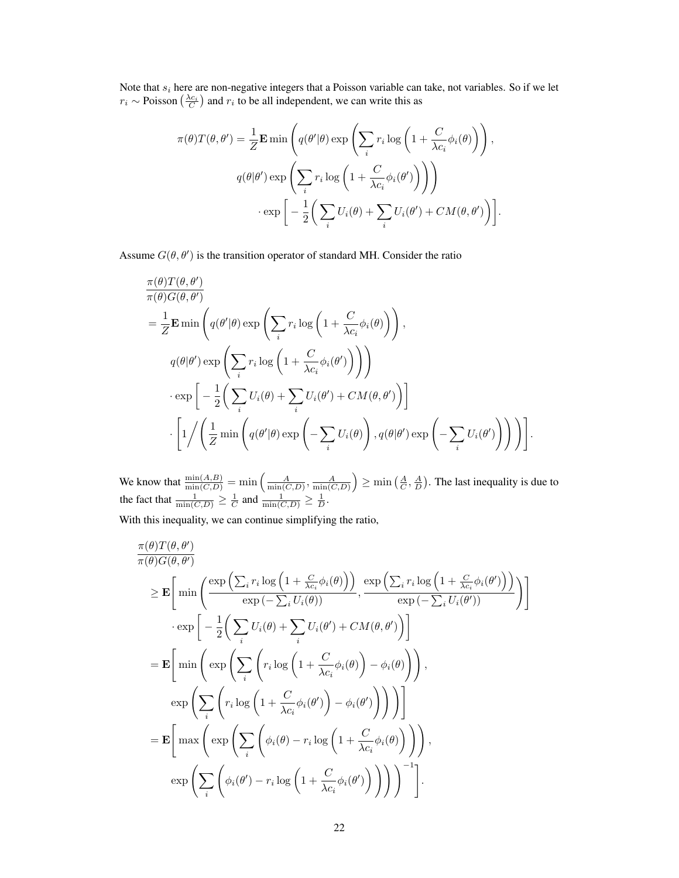Note that  $s_i$  here are non-negative integers that a Poisson variable can take, not variables. So if we let  $r_i \sim \text{Poisson}\left(\frac{\lambda c_i}{C}\right)$  and  $r_i$  to be all independent, we can write this as

$$
\pi(\theta)T(\theta,\theta') = \frac{1}{Z}\mathbf{E}\min\left(q(\theta'|\theta)\exp\left(\sum_{i}r_{i}\log\left(1+\frac{C}{\lambda c_{i}}\phi_{i}(\theta)\right)\right),\right)
$$

$$
q(\theta|\theta')\exp\left(\sum_{i}r_{i}\log\left(1+\frac{C}{\lambda c_{i}}\phi_{i}(\theta')\right)\right)\right)
$$

$$
\cdot\exp\bigg[-\frac{1}{2}\bigg(\sum_{i}U_{i}(\theta)+\sum_{i}U_{i}(\theta')+CM(\theta,\theta')\bigg)\bigg].
$$

Assume  $G(\theta, \theta')$  is the transition operator of standard MH. Consider the ratio

$$
\frac{\pi(\theta)T(\theta,\theta')}{\pi(\theta)G(\theta,\theta')}
$$
\n
$$
= \frac{1}{Z}\mathbf{E}\min\left(q(\theta'|\theta)\exp\left(\sum_{i}r_{i}\log\left(1+\frac{C}{\lambda c_{i}}\phi_{i}(\theta)\right)\right),\right)
$$
\n
$$
q(\theta|\theta')\exp\left(\sum_{i}r_{i}\log\left(1+\frac{C}{\lambda c_{i}}\phi_{i}(\theta')\right)\right)\right)
$$
\n
$$
\cdot \exp\left[-\frac{1}{2}\left(\sum_{i}U_{i}(\theta)+\sum_{i}U_{i}(\theta')+CM(\theta,\theta')\right)\right]
$$
\n
$$
\cdot \left[1/\left(\frac{1}{Z}\min\left(q(\theta'|\theta)\exp\left(-\sum_{i}U_{i}(\theta)\right),q(\theta|\theta')\exp\left(-\sum_{i}U_{i}(\theta')\right)\right)\right)\right].
$$

We know that  $\frac{\min(A,B)}{\min(C,D)} = \min\left(\frac{A}{\min(C,D)}, \frac{A}{\min(C,D)}\right) \ge \min\left(\frac{A}{C}, \frac{A}{D}\right)$ . The last inequality is due to the fact that  $\frac{1}{\min(C,D)} \geq \frac{1}{C}$  and  $\frac{1}{\min(C,D)} \geq \frac{1}{D}$ .

With this inequality, we can continue simplifying the ratio,

$$
\frac{\pi(\theta)T(\theta,\theta')}{\pi(\theta)G(\theta,\theta')}
$$
\n
$$
\geq \mathbf{E}\bigg[\min\bigg(\frac{\exp\left(\sum_{i}r_{i}\log\left(1+\frac{C}{\lambda c_{i}}\phi_{i}(\theta)\right)\right)}{\exp\left(-\sum_{i}U_{i}(\theta)\right)},\frac{\exp\left(\sum_{i}r_{i}\log\left(1+\frac{C}{\lambda c_{i}}\phi_{i}(\theta')\right)\right)}{\exp\left(-\sum_{i}U_{i}(\theta')\right)}\bigg)\bigg]
$$
\n
$$
\cdot \exp\bigg[-\frac{1}{2}\bigg(\sum_{i}U_{i}(\theta)+\sum_{i}U_{i}(\theta')+CM(\theta,\theta')\bigg)\bigg]
$$
\n
$$
=\mathbf{E}\bigg[\min\bigg(\exp\bigg(\sum_{i}\bigg(r_{i}\log\bigg(1+\frac{C}{\lambda c_{i}}\phi_{i}(\theta)\bigg)-\phi_{i}(\theta)\bigg)\bigg)\bigg),\bigg]
$$
\n
$$
\exp\bigg(\sum_{i}\bigg(r_{i}\log\bigg(1+\frac{C}{\lambda c_{i}}\phi_{i}(\theta')\bigg)-\phi_{i}(\theta')\bigg)\bigg)\bigg)\bigg]
$$
\n
$$
=\mathbf{E}\bigg[\max\bigg(\exp\bigg(\sum_{i}\bigg(\phi_{i}(\theta)-r_{i}\log\bigg(1+\frac{C}{\lambda c_{i}}\phi_{i}(\theta)\bigg)\bigg)\bigg)\bigg),\bigg]
$$
\n
$$
\exp\bigg(\sum_{i}\bigg(\phi_{i}(\theta')-r_{i}\log\bigg(1+\frac{C}{\lambda c_{i}}\phi_{i}(\theta')\bigg)\bigg)\bigg)\bigg)^{-1}\bigg].
$$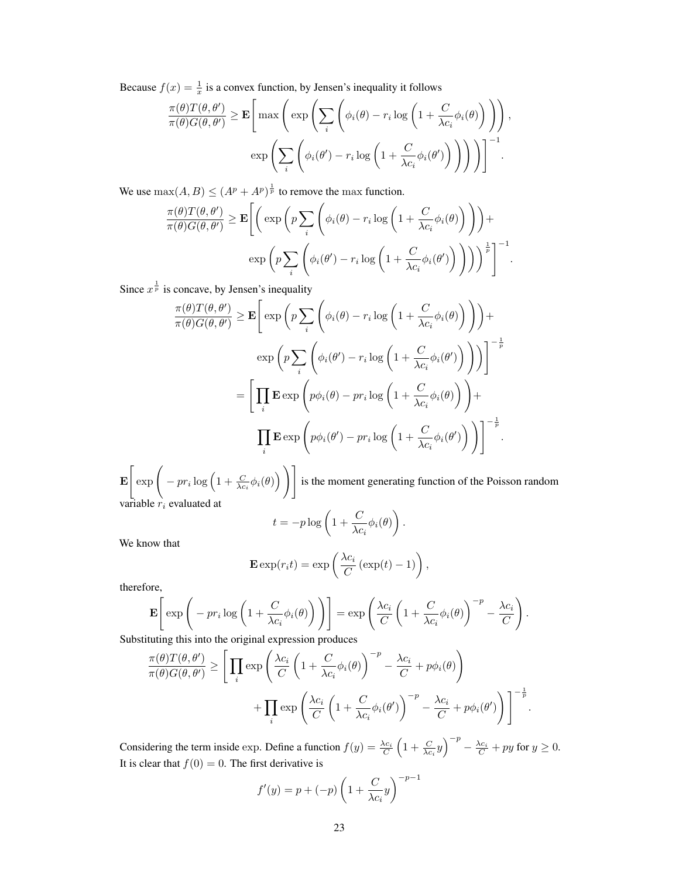Because  $f(x) = \frac{1}{x}$  is a convex function, by Jensen's inequality it follows

$$
\frac{\pi(\theta)T(\theta,\theta')}{\pi(\theta)G(\theta,\theta')} \geq \mathbf{E} \Bigg[\max \Bigg(\exp \Bigg(\sum_{i} \Bigg(\phi_i(\theta) - r_i \log \Big(1 + \frac{C}{\lambda c_i} \phi_i(\theta)\Big)\Big)\Bigg),
$$

$$
\exp \Bigg(\sum_{i} \Bigg(\phi_i(\theta') - r_i \log \Big(1 + \frac{C}{\lambda c_i} \phi_i(\theta')\Big)\Big)\Bigg)\Bigg)\Bigg]^{-1}.
$$

We use  $\max(A, B) \le (A^p + A^p)^{\frac{1}{p}}$  to remove the max function.

$$
\frac{\pi(\theta)T(\theta,\theta')}{\pi(\theta)G(\theta,\theta')} \geq \mathbf{E}\Bigg[\bigg(\exp\bigg(p\sum_{i}\bigg(\phi_i(\theta)-r_i\log\bigg(1+\frac{C}{\lambda c_i}\phi_i(\theta)\bigg)\bigg)\bigg)+\exp\bigg(p\sum_{i}\bigg(\phi_i(\theta')-r_i\log\bigg(1+\frac{C}{\lambda c_i}\phi_i(\theta')\bigg)\bigg)\bigg)^{\frac{1}{p}}\Bigg]^{-1}
$$

.

Since  $x^{\frac{1}{p}}$  is concave, by Jensen's inequality

$$
\frac{\pi(\theta)T(\theta,\theta')}{\pi(\theta)G(\theta,\theta')} \geq \mathbf{E} \Bigg[ \exp \bigg( p \sum_{i} \bigg( \phi_{i}(\theta) - r_{i} \log \bigg( 1 + \frac{C}{\lambda c_{i}} \phi_{i}(\theta) \bigg) \bigg) \Bigg) +
$$
  
\n
$$
\exp \bigg( p \sum_{i} \bigg( \phi_{i}(\theta') - r_{i} \log \bigg( 1 + \frac{C}{\lambda c_{i}} \phi_{i}(\theta') \bigg) \bigg) \bigg) \Bigg]^{-\frac{1}{p}}
$$
  
\n
$$
= \bigg[ \prod_{i} \mathbf{E} \exp \bigg( p\phi_{i}(\theta) - pr_{i} \log \bigg( 1 + \frac{C}{\lambda c_{i}} \phi_{i}(\theta) \bigg) \bigg) +
$$
  
\n
$$
\prod_{i} \mathbf{E} \exp \bigg( p\phi_{i}(\theta') - pr_{i} \log \bigg( 1 + \frac{C}{\lambda c_{i}} \phi_{i}(\theta') \bigg) \bigg) \bigg]^{-\frac{1}{p}}.
$$

E  $\left[\exp\bigg(-pr_i\log\Big(1+\frac{C}{\lambda c_i}\phi_i(\theta)\Big)\bigg)\right]$ is the moment generating function of the Poisson random variable  $r_i$  evaluated at

$$
t = -p \log \left( 1 + \frac{C}{\lambda c_i} \phi_i(\theta) \right).
$$

We know that

$$
\mathbf{E}\exp(r_i t) = \exp\left(\frac{\lambda c_i}{C}\left(\exp(t) - 1\right)\right),\,
$$

therefore,

$$
\mathbf{E}\left[\exp\left(-\operatorname{pr}_i\log\left(1+\frac{C}{\lambda c_i}\phi_i(\theta)\right)\right)\right] = \exp\left(\frac{\lambda c_i}{C}\left(1+\frac{C}{\lambda c_i}\phi_i(\theta)\right)^{-p} - \frac{\lambda c_i}{C}\right).
$$

Substituting this into the original expression produces

$$
\frac{\pi(\theta)T(\theta,\theta')}{\pi(\theta)G(\theta,\theta')} \geq \left[ \prod_i \exp\left(\frac{\lambda c_i}{C} \left(1 + \frac{C}{\lambda c_i} \phi_i(\theta)\right)^{-p} - \frac{\lambda c_i}{C} + p\phi_i(\theta)\right) + \prod_i \exp\left(\frac{\lambda c_i}{C} \left(1 + \frac{C}{\lambda c_i} \phi_i(\theta')\right)^{-p} - \frac{\lambda c_i}{C} + p\phi_i(\theta')\right) \right]^{-\frac{1}{p}}.
$$

Considering the term inside exp. Define a function  $f(y) = \frac{\lambda c_i}{C} \left(1 + \frac{C}{\lambda c_i}y\right)^{-p} - \frac{\lambda c_i}{C} + py$  for  $y \ge 0$ . It is clear that  $f(0) = 0$ . The first derivative is

$$
f'(y) = p + (-p) \left( 1 + \frac{C}{\lambda c_i} y \right)^{-p-1}
$$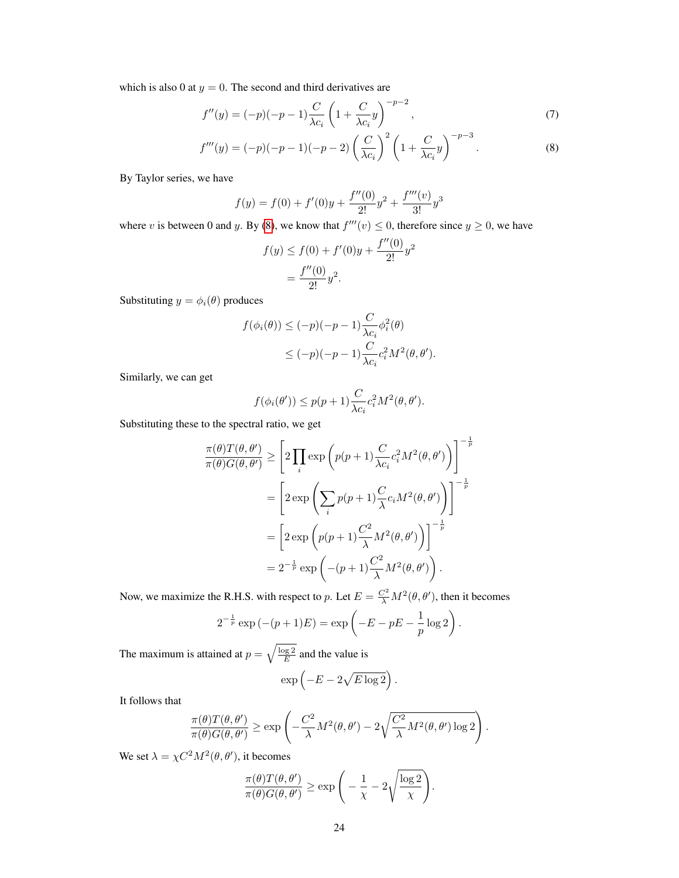which is also 0 at  $y = 0$ . The second and third derivatives are

$$
f''(y) = (-p)(-p-1)\frac{C}{\lambda c_i} \left(1 + \frac{C}{\lambda c_i}y\right)^{-p-2},
$$
\n(7)

$$
f'''(y) = (-p)(-p-1)(-p-2)\left(\frac{C}{\lambda c_i}\right)^2 \left(1 + \frac{C}{\lambda c_i}y\right)^{-p-3}.
$$
 (8)

By Taylor series, we have

$$
f(y) = f(0) + f'(0)y + \frac{f''(0)}{2!}y^{2} + \frac{f'''(v)}{3!}y^{3}
$$

where v is between 0 and y. By [\(8\)](#page-23-0), we know that  $f'''(v) \le 0$ , therefore since  $y \ge 0$ , we have

<span id="page-23-0"></span>
$$
f(y) \le f(0) + f'(0)y + \frac{f''(0)}{2!}y^2
$$
  
=  $\frac{f''(0)}{2!}y^2$ .

Substituting  $y = \phi_i(\theta)$  produces

$$
f(\phi_i(\theta)) \le (-p)(-p-1)\frac{C}{\lambda c_i}\phi_i^2(\theta)
$$
  
 
$$
\le (-p)(-p-1)\frac{C}{\lambda c_i}c_i^2M^2(\theta,\theta').
$$

Similarly, we can get

$$
f(\phi_i(\theta')) \le p(p+1) \frac{C}{\lambda c_i} c_i^2 M^2(\theta, \theta').
$$

Substituting these to the spectral ratio, we get

$$
\frac{\pi(\theta)T(\theta,\theta')}{\pi(\theta)G(\theta,\theta')} \geq \left[2\prod_{i}\exp\left(p(p+1)\frac{C}{\lambda c_{i}}c_{i}^{2}M^{2}(\theta,\theta')\right)\right]^{-\frac{1}{p}}
$$
\n
$$
= \left[2\exp\left(\sum_{i}p(p+1)\frac{C}{\lambda}c_{i}M^{2}(\theta,\theta')\right)\right]^{-\frac{1}{p}}
$$
\n
$$
= \left[2\exp\left(p(p+1)\frac{C^{2}}{\lambda}M^{2}(\theta,\theta')\right)\right]^{-\frac{1}{p}}
$$
\n
$$
= 2^{-\frac{1}{p}}\exp\left(-(p+1)\frac{C^{2}}{\lambda}M^{2}(\theta,\theta')\right).
$$

Now, we maximize the R.H.S. with respect to p. Let  $E = \frac{C^2}{\lambda} M^2(\theta, \theta')$ , then it becomes

$$
2^{-\frac{1}{p}} \exp(-(p+1)E) = \exp\left(-E - pE - \frac{1}{p}\log 2\right).
$$

The maximum is attained at  $p = \sqrt{\frac{\log 2}{E}}$  and the value is

$$
\exp\left(-E - 2\sqrt{E\log 2}\right).
$$

It follows that

$$
\frac{\pi(\theta)T(\theta,\theta')}{\pi(\theta)G(\theta,\theta')} \ge \exp\left(-\frac{C^2}{\lambda}M^2(\theta,\theta') - 2\sqrt{\frac{C^2}{\lambda}M^2(\theta,\theta')\log 2}\right).
$$

We set  $\lambda = \chi C^2 M^2(\theta, \theta')$ , it becomes

$$
\frac{\pi(\theta)T(\theta,\theta')}{\pi(\theta)G(\theta,\theta')} \ge \exp\bigg(-\frac{1}{\chi}-2\sqrt{\frac{\log 2}{\chi}}\bigg).
$$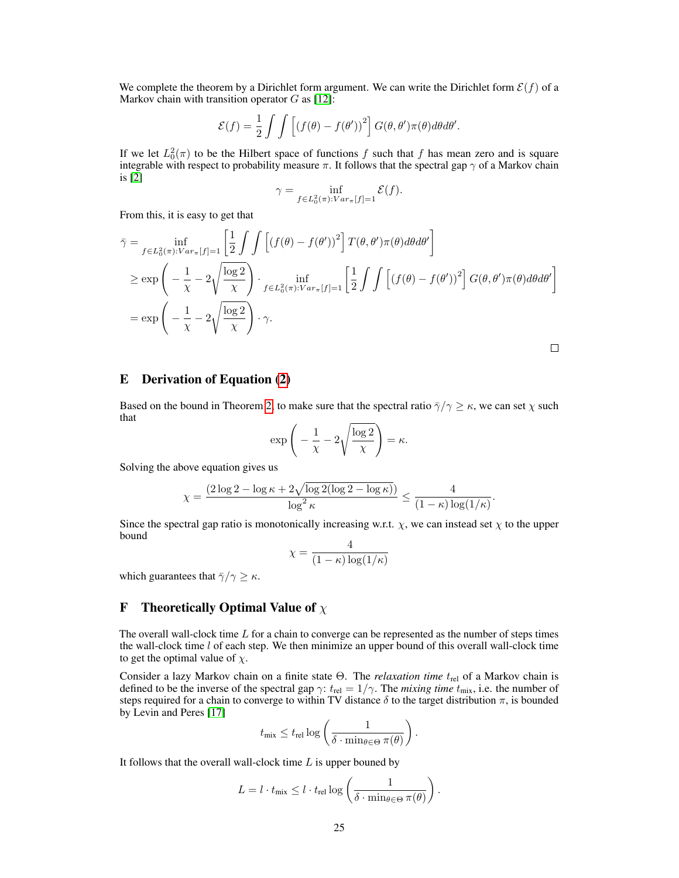We complete the theorem by a Dirichlet form argument. We can write the Dirichlet form  $\mathcal{E}(f)$  of a Markov chain with transition operator  $G$  as [\[12\]](#page-8-9):

$$
\mathcal{E}(f) = \frac{1}{2} \int \int \left[ (f(\theta) - f(\theta'))^2 \right] G(\theta, \theta') \pi(\theta) d\theta d\theta'.
$$

If we let  $L_0^2(\pi)$  to be the Hilbert space of functions f such that f has mean zero and is square integrable with respect to probability measure  $\pi$ . It follows that the spectral gap  $\gamma$  of a Markov chain is [\[2\]](#page-8-10)

$$
\gamma = \inf_{f \in L_0^2(\pi): Var_{\pi}[f]=1} \mathcal{E}(f).
$$

From this, it is easy to get that

$$
\bar{\gamma} = \inf_{f \in L_0^2(\pi):Var_{\pi}[f]=1} \left[ \frac{1}{2} \int \int \left[ (f(\theta) - f(\theta'))^2 \right] T(\theta, \theta') \pi(\theta) d\theta d\theta' \right]
$$
  
\n
$$
\ge \exp\left( -\frac{1}{\chi} - 2\sqrt{\frac{\log 2}{\chi}} \right) \cdot \inf_{f \in L_0^2(\pi):Var_{\pi}[f]=1} \left[ \frac{1}{2} \int \int \left[ (f(\theta) - f(\theta'))^2 \right] G(\theta, \theta') \pi(\theta) d\theta d\theta' \right]
$$
  
\n
$$
= \exp\left( -\frac{1}{\chi} - 2\sqrt{\frac{\log 2}{\chi}} \right) \cdot \gamma.
$$

ப

# <span id="page-24-0"></span>E Derivation of Equation [\(2\)](#page-4-2)

Based on the bound in Theorem [2,](#page-4-1) to make sure that the spectral ratio  $\bar{\gamma}/\gamma \geq \kappa$ , we can set  $\chi$  such that

$$
\exp\left(-\frac{1}{\chi} - 2\sqrt{\frac{\log 2}{\chi}}\right) = \kappa.
$$

Solving the above equation gives us

$$
\chi = \frac{(2\log 2 - \log \kappa + 2\sqrt{\log 2(\log 2 - \log \kappa)})}{\log^2 \kappa} \le \frac{4}{(1 - \kappa)\log(1/\kappa)}.
$$

Since the spectral gap ratio is monotonically increasing w.r.t.  $\chi$ , we can instead set  $\chi$  to the upper bound

$$
\chi = \frac{4}{(1 - \kappa) \log(1/\kappa)}
$$

which guarantees that  $\bar{\gamma}/\gamma \geq \kappa$ .

# <span id="page-24-1"></span>**F** Theoretically Optimal Value of  $\chi$

The overall wall-clock time  $L$  for a chain to converge can be represented as the number of steps times the wall-clock time  $l$  of each step. We then minimize an upper bound of this overall wall-clock time to get the optimal value of  $\chi$ .

Consider a lazy Markov chain on a finite state Θ. The *relaxation time*  $t_{rel}$  of a Markov chain is defined to be the inverse of the spectral gap  $\gamma$ :  $t_{\text{rel}} = 1/\gamma$ . The *mixing time*  $t_{\text{mix}}$ , i.e. the number of steps required for a chain to converge to within TV distance  $\delta$  to the target distribution  $\pi$ , is bounded by Levin and Peres [\[17\]](#page-9-8)

$$
t_{\text{mix}} \leq t_{\text{rel}} \log \left( \frac{1}{\delta \cdot \min_{\theta \in \Theta} \pi(\theta)} \right).
$$

It follows that the overall wall-clock time  $L$  is upper bouned by

$$
L = l \cdot t_{\text{mix}} \leq l \cdot t_{\text{rel}} \log \left( \frac{1}{\delta \cdot \min_{\theta \in \Theta} \pi(\theta)} \right).
$$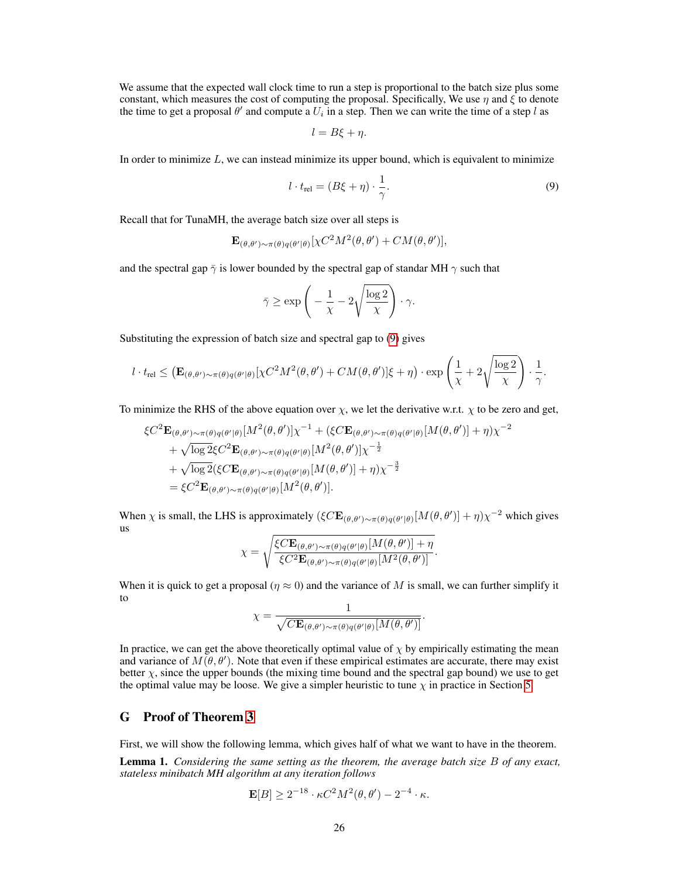We assume that the expected wall clock time to run a step is proportional to the batch size plus some constant, which measures the cost of computing the proposal. Specifically, We use  $\eta$  and  $\xi$  to denote the time to get a proposal  $\theta'$  and compute a  $U_i$  in a step. Then we can write the time of a step l as

<span id="page-25-1"></span>
$$
l = B\xi + \eta.
$$

In order to minimize  $L$ , we can instead minimize its upper bound, which is equivalent to minimize

$$
l \cdot t_{\text{rel}} = (B\xi + \eta) \cdot \frac{1}{\gamma}.\tag{9}
$$

Recall that for TunaMH, the average batch size over all steps is

$$
\mathbf{E}_{(\theta,\theta')\sim\pi(\theta)q(\theta'|\theta)}[\chi C^2M^2(\theta,\theta')+CM(\theta,\theta')],
$$

and the spectral gap  $\bar{\gamma}$  is lower bounded by the spectral gap of standar MH  $\gamma$  such that

$$
\bar{\gamma} \ge \exp\left(-\frac{1}{\chi} - 2\sqrt{\frac{\log 2}{\chi}}\right) \cdot \gamma.
$$

Substituting the expression of batch size and spectral gap to [\(9\)](#page-25-1) gives

$$
l \cdot t_{\text{rel}} \leq \left( \mathbf{E}_{(\theta,\theta')\sim\pi(\theta)q(\theta'|\theta)}[\chi C^2 M^2(\theta,\theta') + CM(\theta,\theta')] \xi + \eta \right) \cdot \exp\left(\frac{1}{\chi} + 2\sqrt{\frac{\log 2}{\chi}}\right) \cdot \frac{1}{\gamma}.
$$

To minimize the RHS of the above equation over  $\chi$ , we let the derivative w.r.t.  $\chi$  to be zero and get,

$$
\xi C^2 \mathbf{E}_{(\theta,\theta')\sim\pi(\theta)q(\theta'|\theta)}[M^2(\theta,\theta')] \chi^{-1} + (\xi C \mathbf{E}_{(\theta,\theta')\sim\pi(\theta)q(\theta'|\theta)}[M(\theta,\theta')] + \eta) \chi^{-2}
$$
  
+  $\sqrt{\log 2} \xi C^2 \mathbf{E}_{(\theta,\theta')\sim\pi(\theta)q(\theta'|\theta)}[M^2(\theta,\theta')] \chi^{-\frac{1}{2}}$   
+  $\sqrt{\log 2} (\xi C \mathbf{E}_{(\theta,\theta')\sim\pi(\theta)q(\theta'|\theta)}[M(\theta,\theta')] + \eta) \chi^{-\frac{3}{2}}$   
=  $\xi C^2 \mathbf{E}_{(\theta,\theta')\sim\pi(\theta)q(\theta'|\theta)}[M^2(\theta,\theta')].$ 

When  $\chi$  is small, the LHS is approximately  $(\xi C \mathbf{E}_{(\theta,\theta')\sim\pi(\theta)q(\theta'|\theta)}[M(\theta,\theta')] + \eta)\chi^{-2}$  which gives us

$$
\chi = \sqrt{\frac{\xi C \mathbf{E}_{(\theta,\theta')\sim\pi(\theta)q(\theta'|\theta)}[M(\theta,\theta')] + \eta}{\xi C^2 \mathbf{E}_{(\theta,\theta')\sim\pi(\theta)q(\theta'|\theta)}[M^2(\theta,\theta')]}.
$$

When it is quick to get a proposal ( $\eta \approx 0$ ) and the variance of M is small, we can further simplify it to

$$
\chi = \frac{1}{\sqrt{C\mathbf{E}_{(\theta,\theta')\sim\pi(\theta)q(\theta'|\theta)}[M(\theta,\theta')]}}.
$$

In practice, we can get the above theoretically optimal value of  $\chi$  by empirically estimating the mean and variance of  $M(\theta, \theta')$ . Note that even if these empirical estimates are accurate, there may exist better  $\chi$ , since the upper bounds (the mixing time bound and the spectral gap bound) we use to get the optimal value may be loose. We give a simpler heuristic to tune  $\chi$  in practice in Section [5.](#page-5-1)

# <span id="page-25-0"></span>G Proof of Theorem [3](#page-5-3)

First, we will show the following lemma, which gives half of what we want to have in the theorem.

Lemma 1. *Considering the same setting as the theorem, the average batch size* B *of any exact, stateless minibatch MH algorithm at any iteration follows*

$$
\mathbf{E}[B] \ge 2^{-18} \cdot \kappa C^2 M^2(\theta, \theta') - 2^{-4} \cdot \kappa.
$$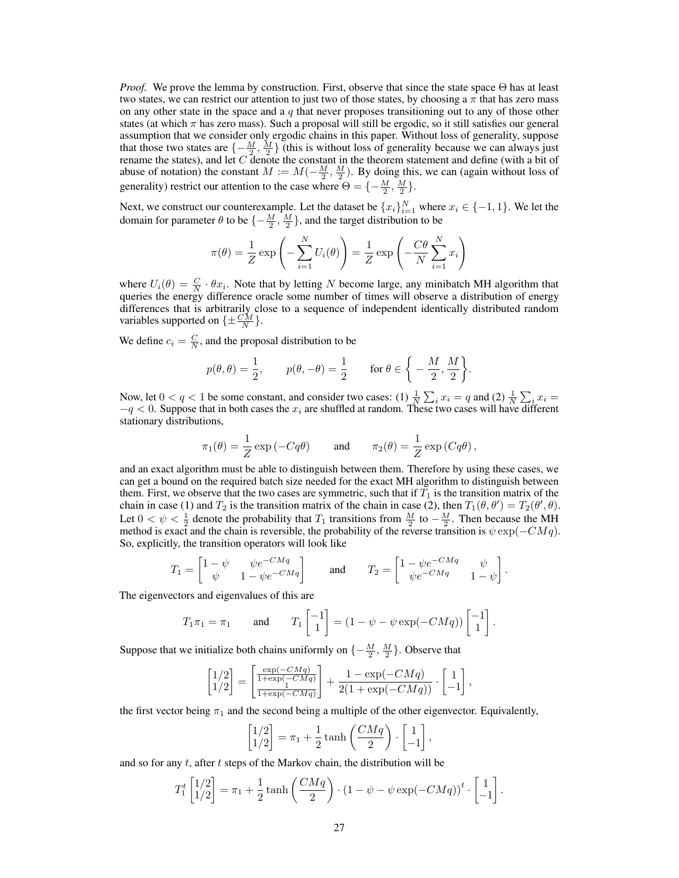*Proof.* We prove the lemma by construction. First, observe that since the state space  $\Theta$  has at least two states, we can restrict our attention to just two of those states, by choosing a  $\pi$  that has zero mass on any other state in the space and a  $q$  that never proposes transitioning out to any of those other states (at which  $\pi$  has zero mass). Such a proposal will still be ergodic, so it still satisfies our general assumption that we consider only ergodic chains in this paper. Without loss of generality, suppose that those two states are  $\{-\frac{M}{2}, \frac{M}{2}\}$  (this is without loss of generality because we can always just rename the states), and let  $C$  denote the constant in the theorem statement and define (with a bit of abuse of notation) the constant  $M := M(-\frac{M}{2}, \frac{M}{2})$ . By doing this, we can (again without loss of generality) restrict our attention to the case where  $\Theta = \{-\frac{M}{2}, \frac{M}{2}\}.$ 

Next, we construct our counterexample. Let the dataset be  ${x_i}_{i=1}^N$  where  $x_i \in \{-1, 1\}$ . We let the domain for parameter  $\theta$  to be  $\{-\frac{M}{2}, \frac{M}{2}\}\$ , and the target distribution to be

$$
\pi(\theta) = \frac{1}{Z} \exp\left(-\sum_{i=1}^{N} U_i(\theta)\right) = \frac{1}{Z} \exp\left(-\frac{C\theta}{N} \sum_{i=1}^{N} x_i\right)
$$

where  $U_i(\theta) = \frac{C}{N} \cdot \theta x_i$ . Note that by letting N become large, any minibatch MH algorithm that queries the energy difference oracle some number of times will observe a distribution of energy differences that is arbitrarily close to a sequence of independent identically distributed random variables supported on  $\{\pm \frac{CM}{N}\}.$ 

We define  $c_i = \frac{C}{N}$ , and the proposal distribution to be

$$
p(\theta, \theta) = \frac{1}{2},
$$
  $p(\theta, -\theta) = \frac{1}{2}$  for  $\theta \in \left\{-\frac{M}{2}, \frac{M}{2}\right\}.$ 

Now, let  $0 < q < 1$  be some constant, and consider two cases: (1)  $\frac{1}{N} \sum_i x_i = q$  and (2)  $\frac{1}{N} \sum_i x_i =$  $-q < 0$ . Suppose that in both cases the  $x_i$  are shuffled at random. These two cases will have different stationary distributions,

$$
\pi_1(\theta) = \frac{1}{Z} \exp(-Cq\theta)
$$
 and  $\pi_2(\theta) = \frac{1}{Z} \exp(Cq\theta)$ ,

and an exact algorithm must be able to distinguish between them. Therefore by using these cases, we can get a bound on the required batch size needed for the exact MH algorithm to distinguish between them. First, we observe that the two cases are symmetric, such that if  $T_1$  is the transition matrix of the chain in case (1) and  $T_2$  is the transition matrix of the chain in case (2), then  $T_1(\theta, \theta') = T_2(\theta', \theta)$ . Let  $0 < \psi < \frac{1}{2}$  denote the probability that  $T_1$  transitions from  $\frac{M}{2}$  to  $-\frac{M}{2}$ . Then because the MH method is exact and the chain is reversible, the probability of the reverse transition is  $\psi \exp(-CMq)$ . So, explicitly, the transition operators will look like

$$
T_1 = \begin{bmatrix} 1 - \psi & \psi e^{-CMq} \\ \psi & 1 - \psi e^{-CMq} \end{bmatrix} \quad \text{and} \quad T_2 = \begin{bmatrix} 1 - \psi e^{-CMq} & \psi \\ \psi e^{-CMq} & 1 - \psi \end{bmatrix}.
$$

The eigenvectors and eigenvalues of this are

$$
T_1 \pi_1 = \pi_1
$$
 and  $T_1 \begin{bmatrix} -1 \\ 1 \end{bmatrix} = (1 - \psi - \psi \exp(-CMq)) \begin{bmatrix} -1 \\ 1 \end{bmatrix}.$ 

Suppose that we initialize both chains uniformly on  $\{-\frac{M}{2}, \frac{M}{2}\}\$ . Observe that

$$
\begin{bmatrix} 1/2 \\ 1/2 \end{bmatrix} = \begin{bmatrix} \frac{\exp(-CMq)}{1+\exp(-CMq)} \\ \frac{1}{1+\exp(-CMq)} \end{bmatrix} + \frac{1-\exp(-CMq)}{2(1+\exp(-CMq))} \cdot \begin{bmatrix} 1 \\ -1 \end{bmatrix},
$$

the first vector being  $\pi_1$  and the second being a multiple of the other eigenvector. Equivalently,

$$
\begin{bmatrix} 1/2 \\ 1/2 \end{bmatrix} = \pi_1 + \frac{1}{2} \tanh\left(\frac{CMq}{2}\right) \cdot \begin{bmatrix} 1 \\ -1 \end{bmatrix},
$$

and so for any  $t$ , after  $t$  steps of the Markov chain, the distribution will be

$$
T_1^t \begin{bmatrix} 1/2 \\ 1/2 \end{bmatrix} = \pi_1 + \frac{1}{2} \tanh\left(\frac{CMq}{2}\right) \cdot \left(1 - \psi - \psi \exp(-CMq)\right)^t \cdot \begin{bmatrix} 1 \\ -1 \end{bmatrix}.
$$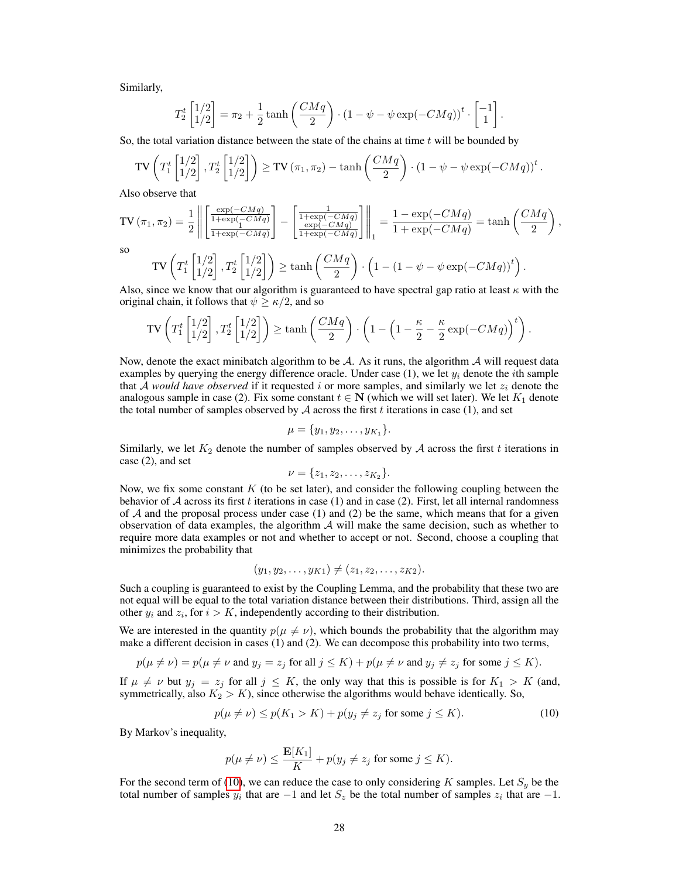Similarly,

$$
T_2^t \begin{bmatrix} 1/2 \\ 1/2 \end{bmatrix} = \pi_2 + \frac{1}{2} \tanh\left(\frac{CMq}{2}\right) \cdot \left(1 - \psi - \psi \exp(-CMq)\right)^t \cdot \begin{bmatrix} -1 \\ 1 \end{bmatrix}.
$$

So, the total variation distance between the state of the chains at time  $t$  will be bounded by

$$
\text{TV}\left(T_1^t\begin{bmatrix}1/2\\1/2\end{bmatrix}, T_2^t\begin{bmatrix}1/2\\1/2\end{bmatrix}\right) \geq \text{TV}\left(\pi_1, \pi_2\right) - \tanh\left(\frac{CMq}{2}\right) \cdot \left(1 - \psi - \psi \exp(-CMq)\right)^t.
$$

Also observe that

$$
\text{TV}\left(\pi_1, \pi_2\right) = \frac{1}{2} \left\| \left[ \frac{\frac{\exp(-CMq)}{1 + \exp(-CMq)}}{1 + \exp(-CMq)} \right] - \left[ \frac{1}{1 + \exp(-CMq)} \right] \right\|_1 = \frac{1 - \exp(-CMq)}{1 + \exp(-CMq)} = \tanh\left(\frac{CMq}{2}\right),
$$

so

$$
\text{TV}\left(T_1^t\begin{bmatrix}1/2\\1/2\end{bmatrix}, T_2^t\begin{bmatrix}1/2\\1/2\end{bmatrix}\right) \ge \tanh\left(\frac{CMq}{2}\right) \cdot \left(1 - (1 - \psi - \psi \exp(-CMq))^t\right).
$$

Also, since we know that our algorithm is guaranteed to have spectral gap ratio at least  $\kappa$  with the original chain, it follows that  $\psi \ge \kappa/2$ , and so

$$
\text{TV}\left(T_1^t\begin{bmatrix}1/2\\1/2\end{bmatrix}, T_2^t\begin{bmatrix}1/2\\1/2\end{bmatrix}\right) \ge \tanh\left(\frac{CMq}{2}\right) \cdot \left(1 - \left(1 - \frac{\kappa}{2} - \frac{\kappa}{2}\exp(-CMq)\right)^t\right).
$$

Now, denote the exact minibatch algorithm to be  $\mathcal{A}$ . As it runs, the algorithm  $\mathcal{A}$  will request data examples by querying the energy difference oracle. Under case (1), we let  $y_i$  denote the *i*th sample that A *would have observed* if it requested i or more samples, and similarly we let  $z_i$  denote the analogous sample in case (2). Fix some constant  $t \in \mathbb{N}$  (which we will set later). We let  $K_1$  denote the total number of samples observed by  $A$  across the first  $t$  iterations in case (1), and set

$$
\mu = \{y_1, y_2, \dots, y_{K_1}\}.
$$

Similarly, we let  $K_2$  denote the number of samples observed by A across the first t iterations in case (2), and set

$$
\nu = \{z_1, z_2, \ldots, z_{K_2}\}.
$$

Now, we fix some constant  $K$  (to be set later), and consider the following coupling between the behavior of  $A$  across its first t iterations in case (1) and in case (2). First, let all internal randomness of  $A$  and the proposal process under case (1) and (2) be the same, which means that for a given observation of data examples, the algorithm  $A$  will make the same decision, such as whether to require more data examples or not and whether to accept or not. Second, choose a coupling that minimizes the probability that

<span id="page-27-0"></span>
$$
(y_1, y_2, \ldots, y_{K1}) \neq (z_1, z_2, \ldots, z_{K2}).
$$

Such a coupling is guaranteed to exist by the Coupling Lemma, and the probability that these two are not equal will be equal to the total variation distance between their distributions. Third, assign all the other  $y_i$  and  $z_i$ , for  $i > K$ , independently according to their distribution.

We are interested in the quantity  $p(\mu \neq \nu)$ , which bounds the probability that the algorithm may make a different decision in cases (1) and (2). We can decompose this probability into two terms,

$$
p(\mu \neq \nu) = p(\mu \neq \nu \text{ and } y_j = z_j \text{ for all } j \leq K) + p(\mu \neq \nu \text{ and } y_j \neq z_j \text{ for some } j \leq K).
$$

If  $\mu \neq \nu$  but  $y_j = z_j$  for all  $j \leq K$ , the only way that this is possible is for  $K_1 > K$  (and, symmetrically, also  $K_2 > K$ ), since otherwise the algorithms would behave identically. So,

$$
p(\mu \neq \nu) \le p(K_1 > K) + p(y_j \neq z_j \text{ for some } j \le K). \tag{10}
$$

By Markov's inequality,

$$
p(\mu \neq \nu) \leq \frac{\mathbf{E}[K_1]}{K} + p(y_j \neq z_j \text{ for some } j \leq K).
$$

For the second term of [\(10\)](#page-27-0), we can reduce the case to only considering K samples. Let  $S_y$  be the total number of samples  $y_i$  that are  $-1$  and let  $S_z$  be the total number of samples  $z_i$  that are  $-1$ .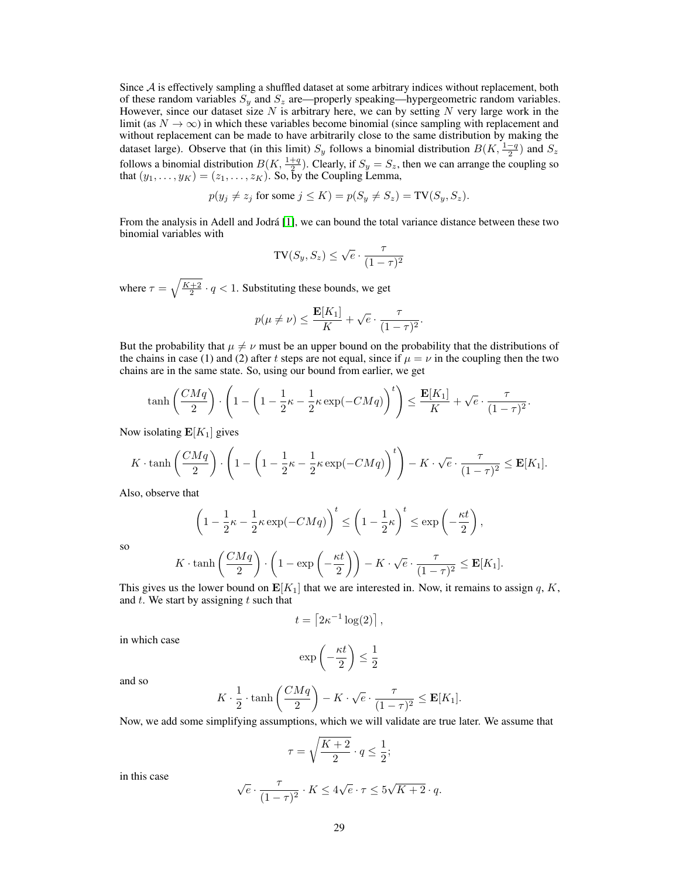Since  $A$  is effectively sampling a shuffled dataset at some arbitrary indices without replacement, both of these random variables  $S_y$  and  $S_z$  are—properly speaking—hypergeometric random variables. However, since our dataset size  $N$  is arbitrary here, we can by setting  $N$  very large work in the limit (as  $N \to \infty$ ) in which these variables become binomial (since sampling with replacement and without replacement can be made to have arbitrarily close to the same distribution by making the dataset large). Observe that (in this limit)  $S_y$  follows a binomial distribution  $B(K, \frac{1-q}{2})$  and  $S_z$ follows a binomial distribution  $B(K, \frac{1+q}{2})$ . Clearly, if  $S_y = S_z$ , then we can arrange the coupling so that  $(y_1, \ldots, y_K) = (z_1, \ldots, z_K)$ . So, by the Coupling Lemma,

$$
p(y_j \neq z_j \text{ for some } j \leq K) = p(S_y \neq S_z) = \text{TV}(S_y, S_z).
$$

From the analysis in Adell and Jodrá [\[1\]](#page-8-11), we can bound the total variance distance between these two binomial variables with

$$
\mathrm{TV}(S_y, S_z) \le \sqrt{e} \cdot \frac{\tau}{(1 - \tau)^2}
$$

where  $\tau = \sqrt{\frac{K+2}{2}} \cdot q < 1$ . Substituting these bounds, we get

$$
p(\mu \neq \nu) \leq \frac{\mathbf{E}[K_1]}{K} + \sqrt{e} \cdot \frac{\tau}{(1-\tau)^2}.
$$

But the probability that  $\mu \neq \nu$  must be an upper bound on the probability that the distributions of the chains in case (1) and (2) after t steps are not equal, since if  $\mu = \nu$  in the coupling then the two chains are in the same state. So, using our bound from earlier, we get

$$
\tanh\left(\frac{CMq}{2}\right) \cdot \left(1 - \left(1 - \frac{1}{2}\kappa - \frac{1}{2}\kappa \exp(-CMq)\right)^t\right) \le \frac{\mathbf{E}[K_1]}{K} + \sqrt{e} \cdot \frac{\tau}{(1-\tau)^2}.
$$

Now isolating  $E[K_1]$  gives

$$
K \cdot \tanh\left(\frac{CMq}{2}\right) \cdot \left(1 - \left(1 - \frac{1}{2}\kappa - \frac{1}{2}\kappa \exp(-CMq)\right)^t\right) - K \cdot \sqrt{e} \cdot \frac{\tau}{(1-\tau)^2} \le \mathbf{E}[K_1].
$$

Also, observe that

$$
\left(1 - \frac{1}{2}\kappa - \frac{1}{2}\kappa \exp(-CMq)\right)^t \le \left(1 - \frac{1}{2}\kappa\right)^t \le \exp\left(-\frac{\kappa t}{2}\right),
$$

so

$$
K \cdot \tanh\left(\frac{CMq}{2}\right) \cdot \left(1 - \exp\left(-\frac{\kappa t}{2}\right)\right) - K \cdot \sqrt{e} \cdot \frac{\tau}{(1-\tau)^2} \le \mathbf{E}[K_1].
$$

This gives us the lower bound on  $\mathbf{E}[K_1]$  that we are interested in. Now, it remains to assign q, K, and  $t$ . We start by assigning  $t$  such that

$$
t = \left[2\kappa^{-1}\log(2)\right],
$$

in which case

$$
\exp\left(-\frac{\kappa t}{2}\right) \le \frac{1}{2}
$$

and so

$$
K \cdot \frac{1}{2} \cdot \tanh\left(\frac{CMq}{2}\right) - K \cdot \sqrt{e} \cdot \frac{\tau}{(1-\tau)^2} \le \mathbf{E}[K_1].
$$

Now, we add some simplifying assumptions, which we will validate are true later. We assume that

$$
\tau = \sqrt{\frac{K+2}{2}} \cdot q \leq \frac{1}{2};
$$

in this case

$$
\sqrt{e} \cdot \frac{\tau}{(1-\tau)^2} \cdot K \le 4\sqrt{e} \cdot \tau \le 5\sqrt{K+2} \cdot q.
$$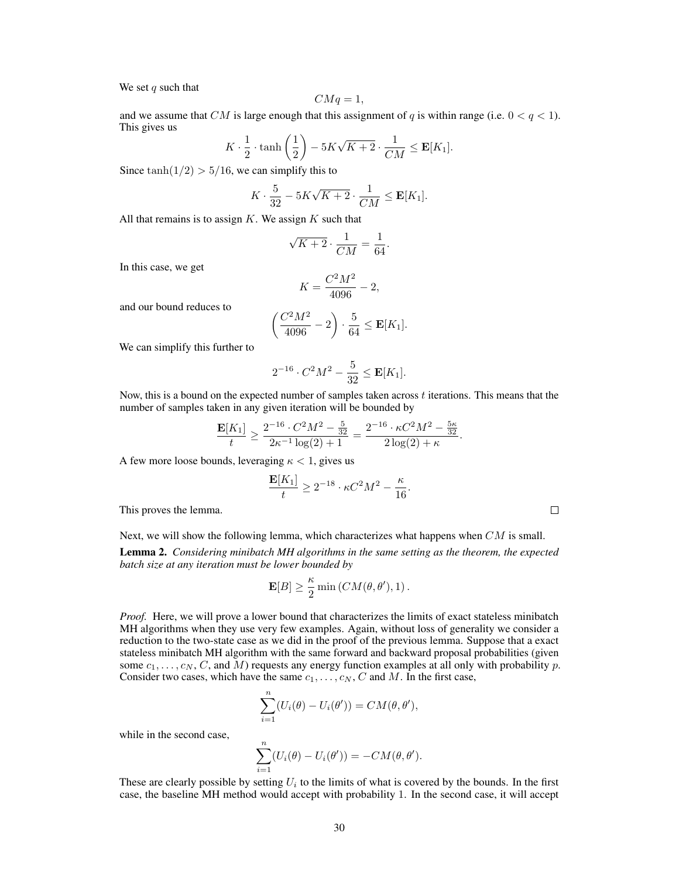We set  $q$  such that

$$
CMq = 1,
$$

and we assume that CM is large enough that this assignment of q is within range (i.e.  $0 < q < 1$ ). This gives us

$$
K \cdot \frac{1}{2} \cdot \tanh\left(\frac{1}{2}\right) - 5K\sqrt{K+2} \cdot \frac{1}{CM} \le \mathbf{E}[K_1].
$$

Since  $tanh(1/2)$  > 5/16, we can simplify this to

$$
K\cdot \frac{5}{32} - 5K\sqrt{K+2}\cdot \frac{1}{CM} \leq \mathbf{E}[K_1].
$$

All that remains is to assign  $K$ . We assign  $K$  such that

$$
\sqrt{K+2} \cdot \frac{1}{CM} = \frac{1}{64}
$$

.

In this case, we get

$$
K = \frac{C^2 M^2}{4096} - 2,
$$

and our bound reduces to

$$
\left(\frac{C^2M^2}{4096}-2\right) \cdot \frac{5}{64} \leq \mathbf{E}[K_1].
$$

We can simplify this further to

$$
2^{-16} \cdot C^2 M^2 - \frac{5}{32} \le \mathbf{E}[K_1].
$$

Now, this is a bound on the expected number of samples taken across  $t$  iterations. This means that the number of samples taken in any given iteration will be bounded by

$$
\frac{\mathbf{E}[K_1]}{t} \ge \frac{2^{-16} \cdot C^2 M^2 - \frac{5}{32}}{2\kappa^{-1} \log(2) + 1} = \frac{2^{-16} \cdot \kappa C^2 M^2 - \frac{5\kappa}{32}}{2 \log(2) + \kappa}.
$$

A few more loose bounds, leveraging  $\kappa < 1$ , gives us

$$
\frac{\mathbf{E}[K_1]}{t} \ge 2^{-18} \cdot \kappa C^2 M^2 - \frac{\kappa}{16}.
$$

This proves the lemma.

| Next, we will show the following lemma, which characterizes what happens when $CM$ is small.         |
|------------------------------------------------------------------------------------------------------|
| <b>Lemma 2.</b> Considering minibatch MH algorithms in the same setting as the theorem, the expected |
| batch size at any iteration must be lower bounded by                                                 |

$$
\mathbf{E}[B] \ge \frac{\kappa}{2} \min (CM(\theta, \theta'), 1).
$$

*Proof.* Here, we will prove a lower bound that characterizes the limits of exact stateless minibatch MH algorithms when they use very few examples. Again, without loss of generality we consider a reduction to the two-state case as we did in the proof of the previous lemma. Suppose that a exact stateless minibatch MH algorithm with the same forward and backward proposal probabilities (given some  $c_1, \ldots, c_N, C$ , and M) requests any energy function examples at all only with probability p. Consider two cases, which have the same  $c_1, \ldots, c_N, C$  and M. In the first case,

$$
\sum_{i=1}^n (U_i(\theta) - U_i(\theta')) = CM(\theta, \theta'),
$$

while in the second case,

$$
\sum_{i=1}^n (U_i(\theta) - U_i(\theta')) = -CM(\theta, \theta').
$$

These are clearly possible by setting  $U_i$  to the limits of what is covered by the bounds. In the first case, the baseline MH method would accept with probability 1. In the second case, it will accept

 $\Box$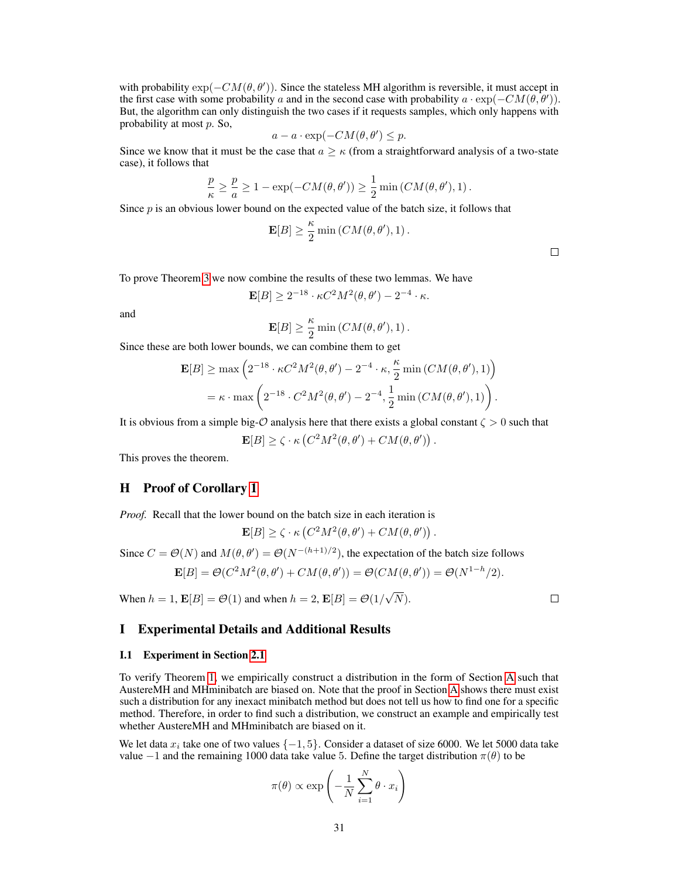with probability  $\exp(-CM(\theta, \theta'))$ . Since the stateless MH algorithm is reversible, it must accept in the first case with some probability a and in the second case with probability  $a \cdot \exp(-CM(\theta, \theta'))$ . But, the algorithm can only distinguish the two cases if it requests samples, which only happens with probability at most p. So,

$$
a - a \cdot \exp(-CM(\theta, \theta') \le p.
$$

Since we know that it must be the case that  $a \geq \kappa$  (from a straightforward analysis of a two-state case), it follows that

$$
\frac{p}{\kappa} \geq \frac{p}{a} \geq 1 - \exp(-CM(\theta, \theta')) \geq \frac{1}{2} \min (CM(\theta, \theta'), 1).
$$

Since  $p$  is an obvious lower bound on the expected value of the batch size, it follows that

$$
\mathbf{E}[B] \ge \frac{\kappa}{2} \min (CM(\theta, \theta'), 1).
$$

 $\Box$ 

To prove Theorem [3](#page-5-3) we now combine the results of these two lemmas. We have

$$
\mathbf{E}[B] \geq 2^{-18} \cdot \kappa C^2 M^2(\theta,\theta') - 2^{-4} \cdot \kappa.
$$

and

$$
\mathbf{E}[B] \ge \frac{\kappa}{2} \min\left( CM(\theta, \theta'), 1 \right).
$$

Since these are both lower bounds, we can combine them to get

$$
\mathbf{E}[B] \ge \max\left(2^{-18} \cdot \kappa C^2 M^2(\theta, \theta') - 2^{-4} \cdot \kappa, \frac{\kappa}{2} \min\left(CM(\theta, \theta'), 1\right)\right)
$$

$$
= \kappa \cdot \max\left(2^{-18} \cdot C^2 M^2(\theta, \theta') - 2^{-4}, \frac{1}{2} \min\left(CM(\theta, \theta'), 1\right)\right).
$$

It is obvious from a simple big- $\mathcal O$  analysis here that there exists a global constant  $\zeta > 0$  such that

$$
\mathbf{E}[B] \ge \zeta \cdot \kappa \left( C^2 M^2(\theta, \theta') + CM(\theta, \theta') \right).
$$

This proves the theorem.

### <span id="page-30-1"></span>H Proof of Corollary [1](#page-5-5)

*Proof.* Recall that the lower bound on the batch size in each iteration is

$$
\mathbf{E}[B] \ge \zeta \cdot \kappa \left( C^2 M^2(\theta, \theta') + CM(\theta, \theta') \right).
$$

Since  $C = \mathcal{O}(N)$  and  $M(\theta, \theta') = \mathcal{O}(N^{-(h+1)/2})$ , the expectation of the batch size follows

$$
\mathbf{E}[B] = \mathcal{O}(C^2M^2(\theta, \theta') + CM(\theta, \theta')) = \mathcal{O}(CM(\theta, \theta')) = \mathcal{O}(N^{1-h}/2).
$$

When  $h = 1$ ,  $\mathbf{E}[B] = \mathcal{O}(1)$  and when  $h = 2$ ,  $\mathbf{E}[B] = \mathcal{O}(1/\sqrt{2})$  $N).$ 

 $\Box$ 

# <span id="page-30-2"></span>I Experimental Details and Additional Results

#### <span id="page-30-0"></span>I.1 Experiment in Section [2.1](#page-2-0)

To verify Theorem [1,](#page-2-2) we empirically construct a distribution in the form of Section [A](#page-10-0) such that AustereMH and MHminibatch are biased on. Note that the proof in Section [A](#page-10-0) shows there must exist such a distribution for any inexact minibatch method but does not tell us how to find one for a specific method. Therefore, in order to find such a distribution, we construct an example and empirically test whether AustereMH and MHminibatch are biased on it.

We let data  $x_i$  take one of two values  $\{-1, 5\}$ . Consider a dataset of size 6000. We let 5000 data take value  $-1$  and the remaining 1000 data take value 5. Define the target distribution  $\pi(\theta)$  to be

$$
\pi(\theta) \propto \exp\left(-\frac{1}{N}\sum_{i=1}^{N}\theta \cdot x_i\right)
$$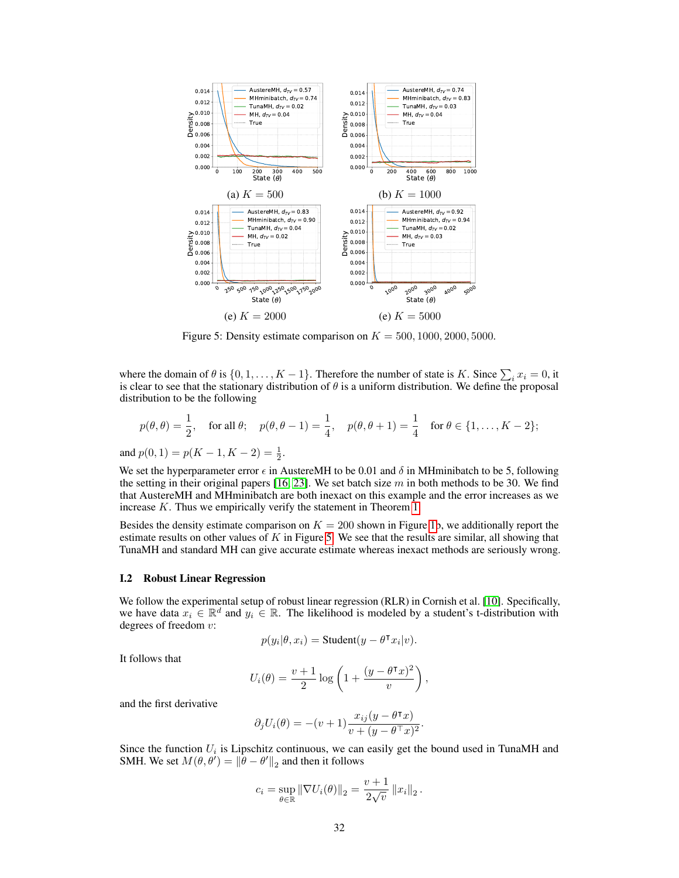<span id="page-31-0"></span>

Figure 5: Density estimate comparison on  $K = 500, 1000, 2000, 5000$ .

where the domain of  $\theta$  is  $\{0, 1, \ldots, K - 1\}$ . Therefore the number of state is K. Since  $\sum_i x_i = 0$ , it is clear to see that the stationary distribution of  $\theta$  is a uniform distribution. We define the proposal distribution to be the following

$$
p(\theta, \theta) = \frac{1}{2}, \text{ for all } \theta; \quad p(\theta, \theta - 1) = \frac{1}{4}, \quad p(\theta, \theta + 1) = \frac{1}{4} \text{ for } \theta \in \{1, \dots, K - 2\};
$$
  
and  $p(0, 1) = p(K - 1, K - 2) = \frac{1}{2}.$ 

We set the hyperparameter error  $\epsilon$  in AustereMH to be 0.01 and  $\delta$  in MHminibatch to be 5, following the setting in their original papers [\[16,](#page-9-2) [23\]](#page-9-5). We set batch size m in both methods to be 30. We find that AustereMH and MHminibatch are both inexact on this example and the error increases as we increase K. Thus we empirically verify the statement in Theorem [1.](#page-2-2)

Besides the density estimate comparison on  $K = 200$  shown in Figure [1b](#page-3-1), we additionally report the estimate results on other values of  $K$  in Figure [5.](#page-31-0) We see that the results are similar, all showing that TunaMH and standard MH can give accurate estimate whereas inexact methods are seriously wrong.

### I.2 Robust Linear Regression

We follow the experimental setup of robust linear regression (RLR) in Cornish et al. [\[10\]](#page-8-4). Specifically, we have data  $x_i \in \mathbb{R}^d$  and  $y_i \in \mathbb{R}$ . The likelihood is modeled by a student's t-distribution with degrees of freedom v:

$$
p(y_i | \theta, x_i) = \text{Student}(y - \theta^\intercal x_i | v).
$$

It follows that

$$
U_i(\theta) = \frac{v+1}{2} \log \left( 1 + \frac{(y - \theta^\intercal x)^2}{v} \right),
$$

and the first derivative

$$
\partial_j U_i(\theta) = -(v+1) \frac{x_{ij}(y - \theta^\mathsf{T} x)}{v + (y - \theta^\mathsf{T} x)^2}
$$

.

Since the function  $U_i$  is Lipschitz continuous, we can easily get the bound used in TunaMH and SMH. We set  $M(\theta, \theta') = ||\hat{\theta} - \theta'||_2$  and then it follows

$$
c_i = \sup_{\theta \in \mathbb{R}} ||\nabla U_i(\theta)||_2 = \frac{v+1}{2\sqrt{v}} ||x_i||_2.
$$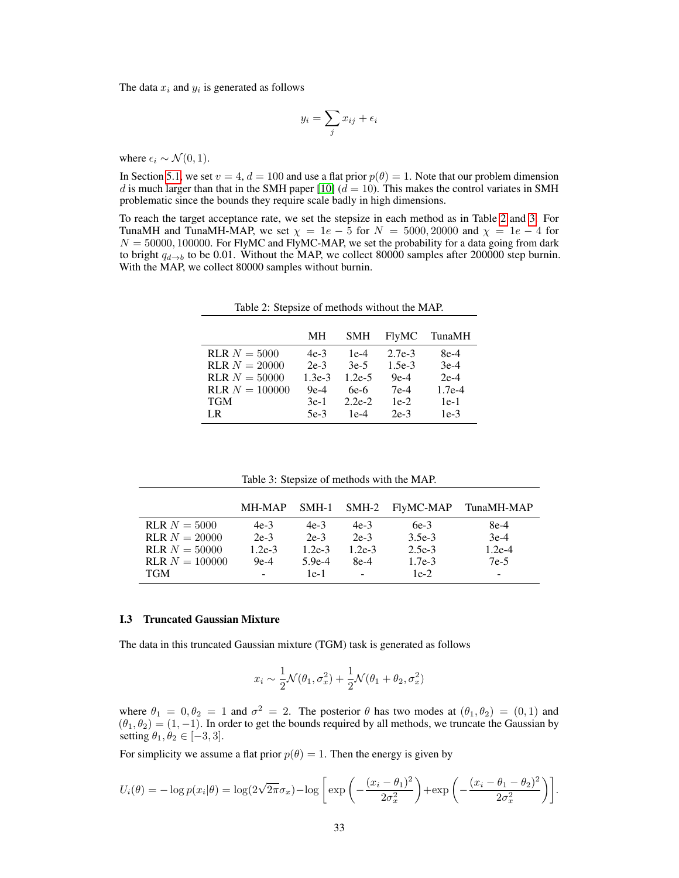The data  $x_i$  and  $y_i$  is generated as follows

$$
y_i = \sum_j x_{ij} + \epsilon_i
$$

where  $\epsilon_i \sim \mathcal{N}(0, 1)$ .

In Section [5.1,](#page-5-4) we set  $v = 4$ ,  $d = 100$  and use a flat prior  $p(\theta) = 1$ . Note that our problem dimension d is much larger than that in the SMH paper [\[10\]](#page-8-4) ( $d = 10$ ). This makes the control variates in SMH problematic since the bounds they require scale badly in high dimensions.

<span id="page-32-0"></span>To reach the target acceptance rate, we set the stepsize in each method as in Table [2](#page-32-0) and [3.](#page-32-2) For TunaMH and TunaMH-MAP, we set  $\chi = 1e - 5$  for  $N = 5000, 20000$  and  $\chi = 1e - 4$  for  $N = 50000, 100000$ . For FlyMC and FlyMC-MAP, we set the probability for a data going from dark to bright  $q_{d\rightarrow b}$  to be 0.01. Without the MAP, we collect 80000 samples after 200000 step burnin. With the MAP, we collect 80000 samples without burnin.

|                         | MН       | <b>SMH</b> | <b>FlyMC</b> | TunaMH   |
|-------------------------|----------|------------|--------------|----------|
| $RLR N = 5000$          | $4e-3$   | $1e-4$     | $2.7e-3$     | $8e-4$   |
| <b>RLR</b> $N = 20000$  | $2e-3$   | $3e-5$     | $1.5e-3$     | $3e-4$   |
| $RLR N = 50000$         | $1.3e-3$ | $1.2e-5$   | $9e-4$       | $2e-4$   |
| <b>RLR</b> $N = 100000$ | $9e-4$   | $6e-6$     | $7e-4$       | $1.7e-4$ |
| TGM                     | $3e-1$   | $2.2e-2$   | $1e-2$       | $1e-1$   |
| LR.                     | $5e-3$   | $1e-4$     | $2e-3$       | $1e-3$   |

Table 2: Stepsize of methods without the MAP.

Table 3: Stepsize of methods with the MAP.

<span id="page-32-2"></span>

|                         | MH-MAP   | SMH-1    |          | SMH-2 FlyMC-MAP | TunaMH-MAP |
|-------------------------|----------|----------|----------|-----------------|------------|
| $RLR N = 5000$          | $4e-3$   | $4e-3$   | $4e-3$   | $6e-3$          | 8e-4       |
| $RLR N = 20000$         | $2e-3$   | $2e-3$   | $2e-3$   | $3.5e-3$        | $3e-4$     |
| $RLR N = 50000$         | $1.2e-3$ | $1.2e-3$ | $1.2e-3$ | $2.5e-3$        | $1.2e-4$   |
| <b>RLR</b> $N = 100000$ | $9e-4$   | $5.9e-4$ | 8e-4     | $1.7e-3$        | $7e-5$     |
| <b>TGM</b>              | $\sim$   | $1e-1$   | $\sim$   | $1e-2$          |            |

#### <span id="page-32-1"></span>I.3 Truncated Gaussian Mixture

The data in this truncated Gaussian mixture (TGM) task is generated as follows

$$
x_i \sim \frac{1}{2} \mathcal{N}(\theta_1, \sigma_x^2) + \frac{1}{2} \mathcal{N}(\theta_1 + \theta_2, \sigma_x^2)
$$

where  $\theta_1 = 0, \theta_2 = 1$  and  $\sigma^2 = 2$ . The posterior  $\theta$  has two modes at  $(\theta_1, \theta_2) = (0, 1)$  and  $(\theta_1, \theta_2) = (1, -1)$ . In order to get the bounds required by all methods, we truncate the Gaussian by setting  $\theta_1, \theta_2 \in [-3, 3]$ .

For simplicity we assume a flat prior  $p(\theta) = 1$ . Then the energy is given by

$$
U_i(\theta) = -\log p(x_i|\theta) = \log(2\sqrt{2\pi}\sigma_x) - \log \left[ \exp \left( -\frac{(x_i - \theta_1)^2}{2\sigma_x^2} \right) + \exp \left( -\frac{(x_i - \theta_1 - \theta_2)^2}{2\sigma_x^2} \right) \right].
$$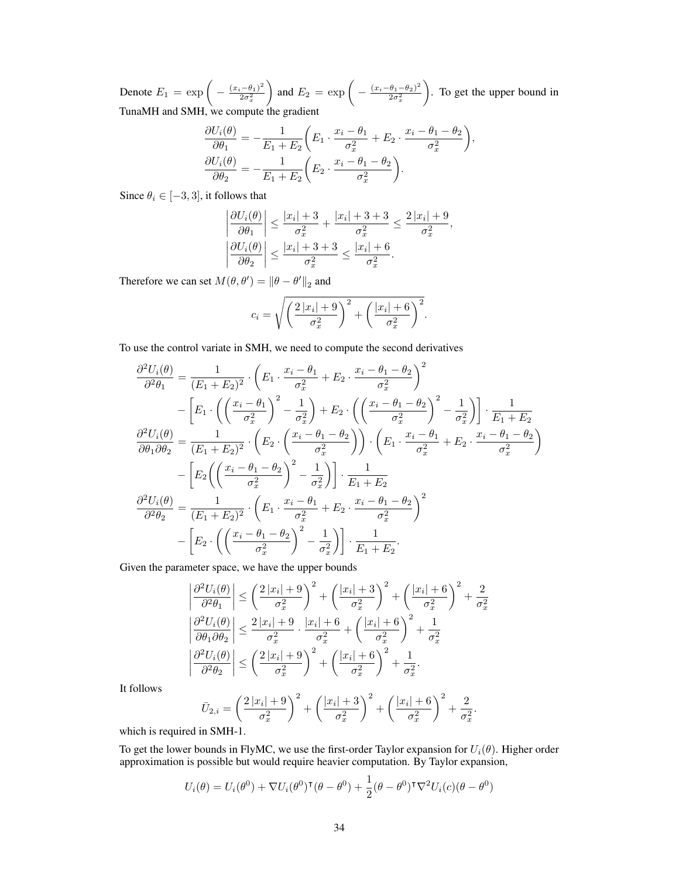Denote  $E_1 = \exp \left(-\frac{(x_i-\theta_1)^2}{2\sigma^2}\right)$  $2\sigma_x^2$ and  $E_2 = \exp \left(-\frac{(x_i-\theta_1-\theta_2)^2}{2\sigma^2}\right)$  $2\sigma_x^2$  . To get the upper bound in TunaMH and SMH, we compute the gradient

$$
\frac{\partial U_i(\theta)}{\partial \theta_1} = -\frac{1}{E_1 + E_2} \left( E_1 \cdot \frac{x_i - \theta_1}{\sigma_x^2} + E_2 \cdot \frac{x_i - \theta_1 - \theta_2}{\sigma_x^2} \right),
$$

$$
\frac{\partial U_i(\theta)}{\partial \theta_2} = -\frac{1}{E_1 + E_2} \left( E_2 \cdot \frac{x_i - \theta_1 - \theta_2}{\sigma_x^2} \right).
$$

Since  $\theta_i \in [-3, 3]$ , it follows that

$$
\left|\frac{\partial U_i(\theta)}{\partial \theta_1}\right| \le \frac{|x_i| + 3}{\sigma_x^2} + \frac{|x_i| + 3 + 3}{\sigma_x^2} \le \frac{2|x_i| + 9}{\sigma_x^2},
$$

$$
\left|\frac{\partial U_i(\theta)}{\partial \theta_2}\right| \le \frac{|x_i| + 3 + 3}{\sigma_x^2} \le \frac{|x_i| + 6}{\sigma_x^2}.
$$

Therefore we can set  $M(\theta, \theta') = ||\theta - \theta'||_2$  and

$$
c_i = \sqrt{\left(\frac{2|x_i|+9}{\sigma_x^2}\right)^2 + \left(\frac{|x_i|+6}{\sigma_x^2}\right)^2}.
$$

To use the control variate in SMH, we need to compute the second derivatives

$$
\frac{\partial^2 U_i(\theta)}{\partial^2 \theta_1} = \frac{1}{(E_1 + E_2)^2} \cdot \left( E_1 \cdot \frac{x_i - \theta_1}{\sigma_x^2} + E_2 \cdot \frac{x_i - \theta_1 - \theta_2}{\sigma_x^2} \right)^2 \n- \left[ E_1 \cdot \left( \left( \frac{x_i - \theta_1}{\sigma_x^2} \right)^2 - \frac{1}{\sigma_x^2} \right) + E_2 \cdot \left( \left( \frac{x_i - \theta_1 - \theta_2}{\sigma_x^2} \right)^2 - \frac{1}{\sigma_x^2} \right) \right] \cdot \frac{1}{E_1 + E_2} \n\frac{\partial^2 U_i(\theta)}{\partial \theta_1 \partial \theta_2} = \frac{1}{(E_1 + E_2)^2} \cdot \left( E_2 \cdot \left( \frac{x_i - \theta_1 - \theta_2}{\sigma_x^2} \right) \right) \cdot \left( E_1 \cdot \frac{x_i - \theta_1}{\sigma_x^2} + E_2 \cdot \frac{x_i - \theta_1 - \theta_2}{\sigma_x^2} \right) \n- \left[ E_2 \left( \left( \frac{x_i - \theta_1 - \theta_2}{\sigma_x^2} \right)^2 - \frac{1}{\sigma_x^2} \right) \right] \cdot \frac{1}{E_1 + E_2} \n\frac{\partial^2 U_i(\theta)}{\partial^2 \theta_2} = \frac{1}{(E_1 + E_2)^2} \cdot \left( E_1 \cdot \frac{x_i - \theta_1}{\sigma_x^2} + E_2 \cdot \frac{x_i - \theta_1 - \theta_2}{\sigma_x^2} \right)^2 \n- \left[ E_2 \cdot \left( \left( \frac{x_i - \theta_1 - \theta_2}{\sigma_x^2} \right)^2 - \frac{1}{\sigma_x^2} \right) \right] \cdot \frac{1}{E_1 + E_2} .
$$

Given the parameter space, we have the upper bounds

$$
\left| \frac{\partial^2 U_i(\theta)}{\partial^2 \theta_1} \right| \le \left( \frac{2|x_i| + 9}{\sigma_x^2} \right)^2 + \left( \frac{|x_i| + 3}{\sigma_x^2} \right)^2 + \left( \frac{|x_i| + 6}{\sigma_x^2} \right)^2 + \frac{2}{\sigma_x^2}
$$

$$
\left| \frac{\partial^2 U_i(\theta)}{\partial \theta_1 \partial \theta_2} \right| \le \frac{2|x_i| + 9}{\sigma_x^2} \cdot \frac{|x_i| + 6}{\sigma_x^2} + \left( \frac{|x_i| + 6}{\sigma_x^2} \right)^2 + \frac{1}{\sigma_x^2}
$$

$$
\left| \frac{\partial^2 U_i(\theta)}{\partial^2 \theta_2} \right| \le \left( \frac{2|x_i| + 9}{\sigma_x^2} \right)^2 + \left( \frac{|x_i| + 6}{\sigma_x^2} \right)^2 + \frac{1}{\sigma_x^2}.
$$

It follows

$$
\bar{U}_{2,i} = \left(\frac{2|x_i|+9}{\sigma_x^2}\right)^2 + \left(\frac{|x_i|+3}{\sigma_x^2}\right)^2 + \left(\frac{|x_i|+6}{\sigma_x^2}\right)^2 + \frac{2}{\sigma_x^2}
$$

.

which is required in SMH-1.

To get the lower bounds in FlyMC, we use the first-order Taylor expansion for  $U_i(\theta)$ . Higher order approximation is possible but would require heavier computation. By Taylor expansion,

$$
U_i(\theta) = U_i(\theta^0) + \nabla U_i(\theta^0)^\mathsf{T}(\theta - \theta^0) + \frac{1}{2}(\theta - \theta^0)^\mathsf{T}\nabla^2 U_i(c)(\theta - \theta^0)
$$